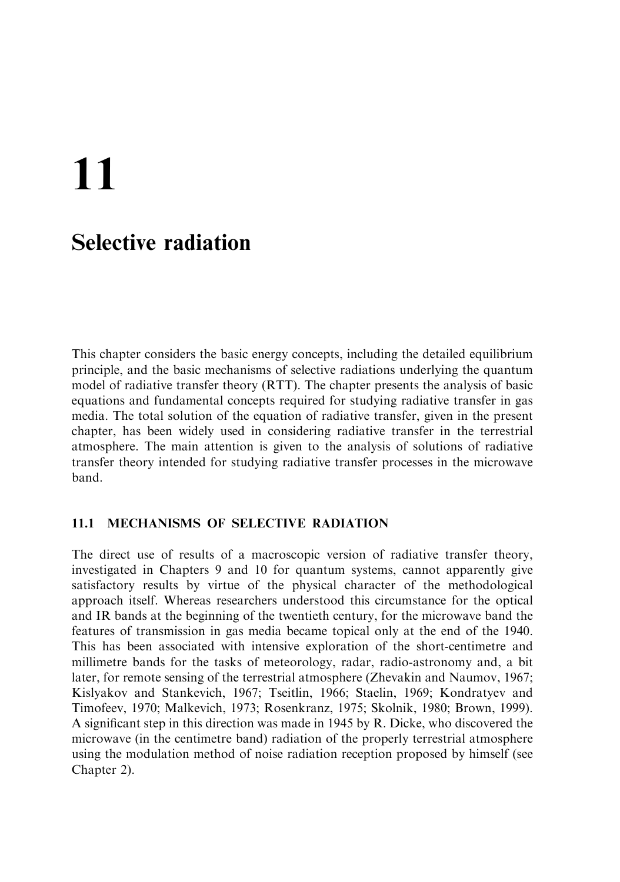# 11

## **Selective radiation**

This chapter considers the basic energy concepts, including the detailed equilibrium principle, and the basic mechanisms of selective radiations underlying the quantum model of radiative transfer theory (RTT). The chapter presents the analysis of basic equations and fundamental concepts required for studying radiative transfer in gas media. The total solution of the equation of radiative transfer, given in the present chapter, has been widely used in considering radiative transfer in the terrestrial atmosphere. The main attention is given to the analysis of solutions of radiative transfer theory intended for studying radiative transfer processes in the microwave band.

#### $11.1$ **MECHANISMS OF SELECTIVE RADIATION**

The direct use of results of a macroscopic version of radiative transfer theory, investigated in Chapters 9 and 10 for quantum systems, cannot apparently give satisfactory results by virtue of the physical character of the methodological approach itself. Whereas researchers understood this circumstance for the optical and IR bands at the beginning of the twentieth century, for the microwave band the features of transmission in gas media became topical only at the end of the 1940. This has been associated with intensive exploration of the short-centimetre and millimetre bands for the tasks of meteorology, radar, radio-astronomy and, a bit later, for remote sensing of the terrestrial atmosphere (Zhevakin and Naumov, 1967; Kislyakov and Stankevich, 1967; Tseitlin, 1966; Staelin, 1969; Kondratyev and Timofeev, 1970; Malkevich, 1973; Rosenkranz, 1975; Skolnik, 1980; Brown, 1999). A significant step in this direction was made in 1945 by R. Dicke, who discovered the microwave (in the centimetre band) radiation of the properly terrestrial atmosphere using the modulation method of noise radiation reception proposed by himself (see Chapter 2).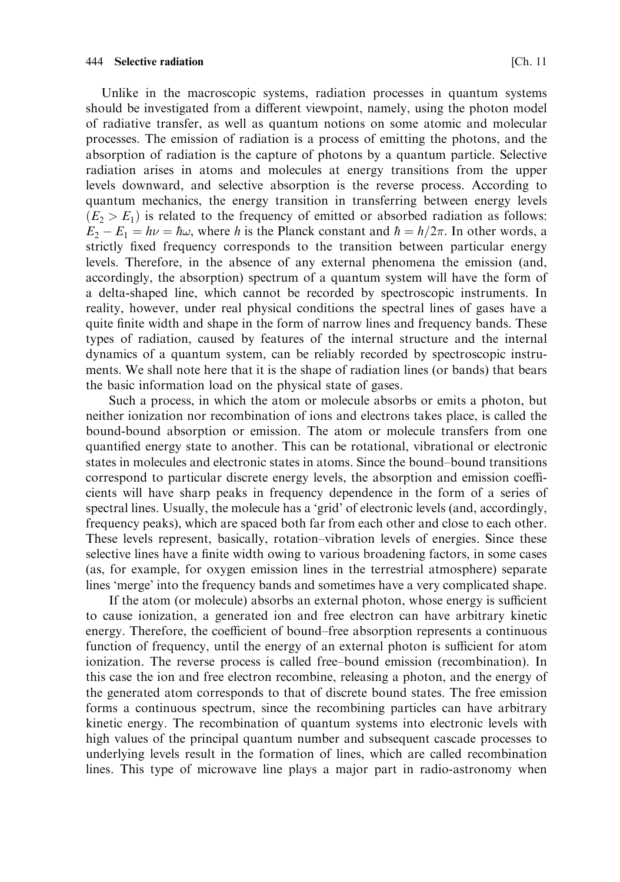Unlike in the macroscopic systems, radiation processes in quantum systems should be investigated from a different viewpoint, namely, using the photon model of radiative transfer, as well as quantum notions on some atomic and molecular processes. The emission of radiation is a process of emitting the photons, and the absorption of radiation is the capture of photons by a quantum particle. Selective radiation arises in atoms and molecules at energy transitions from the upper levels downward, and selective absorption is the reverse process. According to quantum mechanics, the energy transition in transferring between energy levels  $(E_2 > E_1)$  is related to the frequency of emitted or absorbed radiation as follows:  $E_2 - E_1 = h\nu = \hbar\omega$ , where h is the Planck constant and  $\hbar = h/2\pi$ . In other words, a strictly fixed frequency corresponds to the transition between particular energy levels. Therefore, in the absence of any external phenomena the emission (and, accordingly, the absorption) spectrum of a quantum system will have the form of a delta-shaped line, which cannot be recorded by spectroscopic instruments. In reality, however, under real physical conditions the spectral lines of gases have a quite finite width and shape in the form of narrow lines and frequency bands. These types of radiation, caused by features of the internal structure and the internal dynamics of a quantum system, can be reliably recorded by spectroscopic instruments. We shall note here that it is the shape of radiation lines (or bands) that bears the basic information load on the physical state of gases.

Such a process, in which the atom or molecule absorbs or emits a photon, but neither ionization nor recombination of ions and electrons takes place, is called the bound-bound absorption or emission. The atom or molecule transfers from one quantified energy state to another. This can be rotational, vibrational or electronic states in molecules and electronic states in atoms. Since the bound-bound transitions correspond to particular discrete energy levels, the absorption and emission coefficients will have sharp peaks in frequency dependence in the form of a series of spectral lines. Usually, the molecule has a 'grid' of electronic levels (and, accordingly, frequency peaks), which are spaced both far from each other and close to each other. These levels represent, basically, rotation-vibration levels of energies. Since these selective lines have a finite width owing to various broadening factors, in some cases (as, for example, for oxygen emission lines in the terrestrial atmosphere) separate lines 'merge' into the frequency bands and sometimes have a very complicated shape.

If the atom (or molecule) absorbs an external photon, whose energy is sufficient to cause ionization, a generated ion and free electron can have arbitrary kinetic energy. Therefore, the coefficient of bound–free absorption represents a continuous function of frequency, until the energy of an external photon is sufficient for atom ionization. The reverse process is called free-bound emission (recombination). In this case the ion and free electron recombine, releasing a photon, and the energy of the generated atom corresponds to that of discrete bound states. The free emission forms a continuous spectrum, since the recombining particles can have arbitrary kinetic energy. The recombination of quantum systems into electronic levels with high values of the principal quantum number and subsequent cascade processes to underlying levels result in the formation of lines, which are called recombination lines. This type of microwave line plays a major part in radio-astronomy when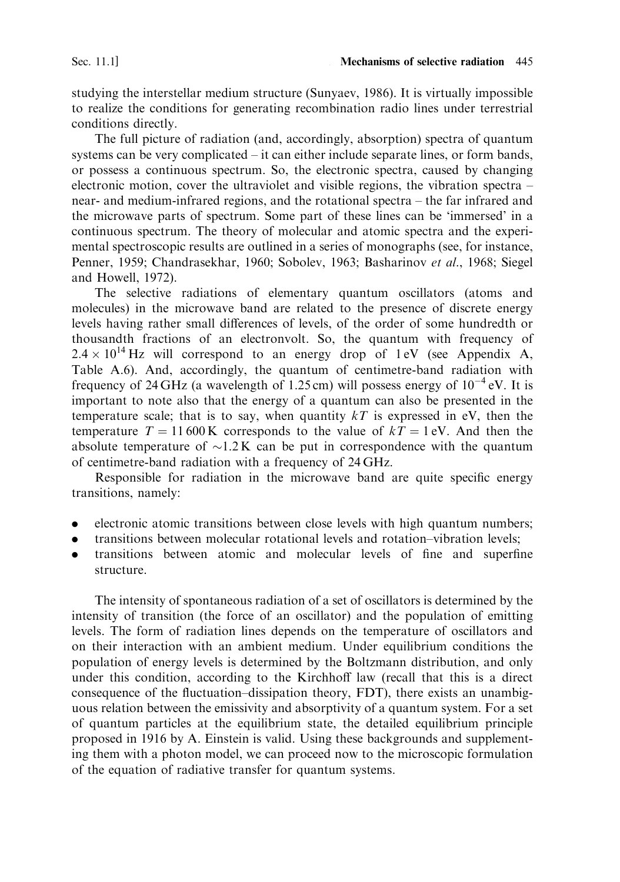studying the interstellar medium structure (Sunyaev, 1986). It is virtually impossible to realize the conditions for generating recombination radio lines under terrestrial conditions directly.

The full picture of radiation (and, accordingly, absorption) spectra of quantum systems can be very complicated – it can either include separate lines, or form bands, or possess a continuous spectrum. So, the electronic spectra, caused by changing electronic motion, cover the ultraviolet and visible regions, the vibration spectra  $$ near- and medium-infrared regions, and the rotational spectra – the far infrared and the microwave parts of spectrum. Some part of these lines can be 'immersed' in a continuous spectrum. The theory of molecular and atomic spectra and the experimental spectroscopic results are outlined in a series of monographs (see, for instance, Penner, 1959; Chandrasekhar, 1960; Sobolev, 1963; Basharinov et al., 1968; Siegel and Howell, 1972).

The selective radiations of elementary quantum oscillators (atoms and molecules) in the microwave band are related to the presence of discrete energy levels having rather small differences of levels, of the order of some hundredth or thousandth fractions of an electronvolt. So, the quantum with frequency of  $2.4 \times 10^{14}$  Hz will correspond to an energy drop of 1 eV (see Appendix A, Table A.6). And, accordingly, the quantum of centimetre-band radiation with frequency of 24 GHz (a wavelength of 1.25 cm) will possess energy of  $10^{-4}$  eV. It is important to note also that the energy of a quantum can also be presented in the temperature scale; that is to say, when quantity  $kT$  is expressed in eV, then the temperature  $T = 11600 \text{ K}$  corresponds to the value of  $kT = 1$  eV. And then the absolute temperature of  $\sim$ 1.2K can be put in correspondence with the quantum of centimetre-band radiation with a frequency of 24 GHz.

Responsible for radiation in the microwave band are quite specific energy transitions, namely:

- electronic atomic transitions between close levels with high quantum numbers;
- transitions between molecular rotational levels and rotation-vibration levels;
- transitions between atomic and molecular levels of fine and superfine structure.

The intensity of spontaneous radiation of a set of oscillators is determined by the intensity of transition (the force of an oscillator) and the population of emitting levels. The form of radiation lines depends on the temperature of oscillators and on their interaction with an ambient medium. Under equilibrium conditions the population of energy levels is determined by the Boltzmann distribution, and only under this condition, according to the Kirchhoff law (recall that this is a direct consequence of the fluctuation-dissipation theory, FDT), there exists an unambiguous relation between the emissivity and absorptivity of a quantum system. For a set of quantum particles at the equilibrium state, the detailed equilibrium principle proposed in 1916 by A. Einstein is valid. Using these backgrounds and supplementing them with a photon model, we can proceed now to the microscopic formulation of the equation of radiative transfer for quantum systems.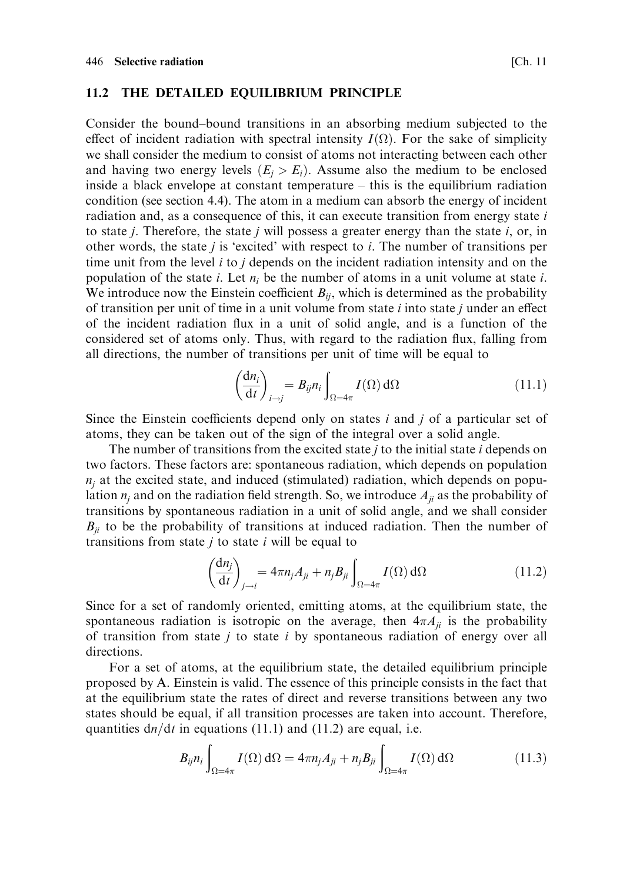#### THE DETAILED EQUILIBRIUM PRINCIPLE 11.2

Consider the bound-bound transitions in an absorbing medium subjected to the effect of incident radiation with spectral intensity  $I(\Omega)$ . For the sake of simplicity we shall consider the medium to consist of atoms not interacting between each other and having two energy levels  $(E_i > E_i)$ . Assume also the medium to be enclosed inside a black envelope at constant temperature  $-$  this is the equilibrium radiation condition (see section 4.4). The atom in a medium can absorb the energy of incident radiation and, as a consequence of this, it can execute transition from energy state  $i$ to state *i*. Therefore, the state *j* will possess a greater energy than the state *i*, or, in other words, the state  $j$  is 'excited' with respect to  $i$ . The number of transitions per time unit from the level  $i$  to  $j$  depends on the incident radiation intensity and on the population of the state *i*. Let  $n_i$  be the number of atoms in a unit volume at state *i*. We introduce now the Einstein coefficient  $B_{ii}$ , which is determined as the probability of transition per unit of time in a unit volume from state *i* into state *j* under an effect of the incident radiation flux in a unit of solid angle, and is a function of the considered set of atoms only. Thus, with regard to the radiation flux, falling from all directions, the number of transitions per unit of time will be equal to

$$
\left(\frac{\mathrm{d}n_i}{\mathrm{d}t}\right)_{i\to j} = B_{ij}n_i \int_{\Omega = 4\pi} I(\Omega) \,\mathrm{d}\Omega \tag{11.1}
$$

Since the Einstein coefficients depend only on states  $i$  and  $j$  of a particular set of atoms, they can be taken out of the sign of the integral over a solid angle.

The number of transitions from the excited state j to the initial state i depends on two factors. These factors are: spontaneous radiation, which depends on population  $n_i$  at the excited state, and induced (stimulated) radiation, which depends on population  $n_i$  and on the radiation field strength. So, we introduce  $A_{ii}$  as the probability of transitions by spontaneous radiation in a unit of solid angle, and we shall consider  $B_{ii}$  to be the probability of transitions at induced radiation. Then the number of transitions from state  $i$  to state  $i$  will be equal to

$$
\left(\frac{dn_j}{dt}\right)_{j\to i} = 4\pi n_j A_{ji} + n_j B_{ji} \int_{\Omega = 4\pi} I(\Omega) d\Omega \tag{11.2}
$$

Since for a set of randomly oriented, emitting atoms, at the equilibrium state, the spontaneous radiation is isotropic on the average, then  $4\pi A_{ii}$  is the probability of transition from state  $i$  to state  $i$  by spontaneous radiation of energy over all directions.

For a set of atoms, at the equilibrium state, the detailed equilibrium principle proposed by A. Einstein is valid. The essence of this principle consists in the fact that at the equilibrium state the rates of direct and reverse transitions between any two states should be equal, if all transition processes are taken into account. Therefore, quantities  $dn/dt$  in equations (11.1) and (11.2) are equal, i.e.

$$
B_{ij}n_i \int_{\Omega = 4\pi} I(\Omega) \, \mathrm{d}\Omega = 4\pi n_j A_{ji} + n_j B_{ji} \int_{\Omega = 4\pi} I(\Omega) \, \mathrm{d}\Omega \tag{11.3}
$$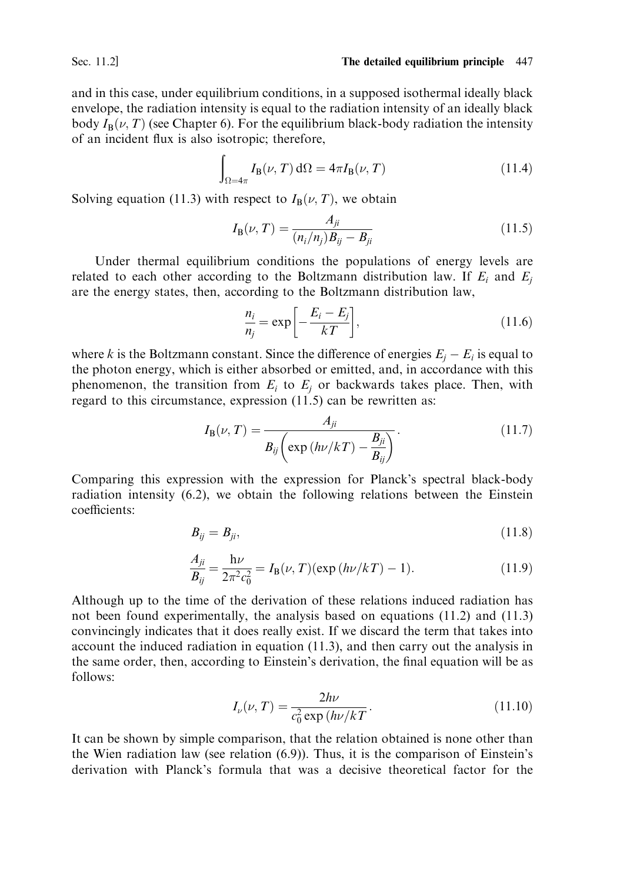## Sec. 11.2

#### The detailed equilibrium principle 447

and in this case, under equilibrium conditions, in a supposed isothermal ideally black envelope, the radiation intensity is equal to the radiation intensity of an ideally black body  $I_B(\nu, T)$  (see Chapter 6). For the equilibrium black-body radiation the intensity of an incident flux is also isotropic; therefore,

$$
\int_{\Omega = 4\pi} I_{\mathcal{B}}(\nu, T) d\Omega = 4\pi I_{\mathcal{B}}(\nu, T) \tag{11.4}
$$

Solving equation (11.3) with respect to  $I_B(\nu, T)$ , we obtain

$$
I_{\rm B}(\nu, T) = \frac{A_{ji}}{(n_i/n_j)B_{ij} - B_{ji}}\tag{11.5}
$$

Under thermal equilibrium conditions the populations of energy levels are related to each other according to the Boltzmann distribution law. If  $E_i$  and  $E_i$ are the energy states, then, according to the Boltzmann distribution law,

$$
\frac{n_i}{n_j} = \exp\left[-\frac{E_i - E_j}{kT}\right],\tag{11.6}
$$

where k is the Boltzmann constant. Since the difference of energies  $E_i - E_i$  is equal to the photon energy, which is either absorbed or emitted, and, in accordance with this phenomenon, the transition from  $E_i$  to  $E_j$  or backwards takes place. Then, with regard to this circumstance, expression (11.5) can be rewritten as:

$$
I_{\mathcal{B}}(\nu, T) = \frac{A_{ji}}{B_{ij}\left(\exp\left(h\nu/kT\right) - \frac{B_{ji}}{B_{ij}}\right)}.\tag{11.7}
$$

Comparing this expression with the expression for Planck's spectral black-body radiation intensity (6.2), we obtain the following relations between the Einstein coefficients:

$$
B_{ij} = B_{ji},\tag{11.8}
$$

$$
\frac{A_{ji}}{B_{ij}} = \frac{h\nu}{2\pi^2 c_0^2} = I_B(\nu, T)(\exp(h\nu/kT) - 1).
$$
 (11.9)

Although up to the time of the derivation of these relations induced radiation has not been found experimentally, the analysis based on equations (11.2) and (11.3) convincingly indicates that it does really exist. If we discard the term that takes into account the induced radiation in equation  $(11.3)$ , and then carry out the analysis in the same order, then, according to Einstein's derivation, the final equation will be as follows:

$$
I_{\nu}(\nu, T) = \frac{2h\nu}{c_0^2 \exp (h\nu/kT)}.
$$
\n(11.10)

It can be shown by simple comparison, that the relation obtained is none other than the Wien radiation law (see relation  $(6.9)$ ). Thus, it is the comparison of Einstein's derivation with Planck's formula that was a decisive theoretical factor for the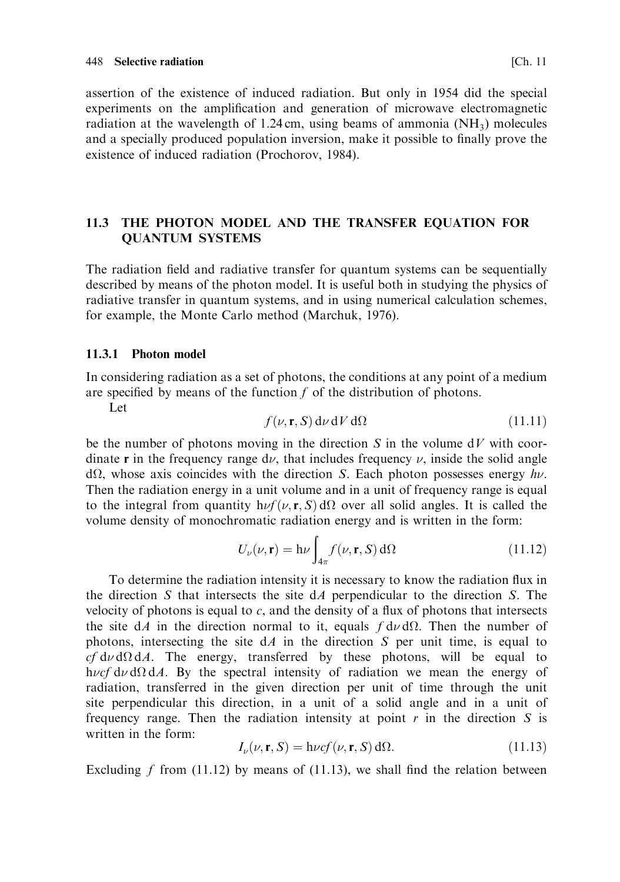assertion of the existence of induced radiation. But only in 1954 did the special experiments on the amplification and generation of microwave electromagnetic radiation at the wavelength of 1.24 cm, using beams of ammonia  $(NH_3)$  molecules and a specially produced population inversion, make it possible to finally prove the existence of induced radiation (Prochorov, 1984).

## 11.3 THE PHOTON MODEL AND THE TRANSFER EQUATION FOR **QUANTUM SYSTEMS**

The radiation field and radiative transfer for quantum systems can be sequentially described by means of the photon model. It is useful both in studying the physics of radiative transfer in quantum systems, and in using numerical calculation schemes, for example, the Monte Carlo method (Marchuk, 1976).

## 11.3.1 Photon model

In considering radiation as a set of photons, the conditions at any point of a medium are specified by means of the function  $f$  of the distribution of photons.

Let

$$
f(\nu, \mathbf{r}, S) \, \mathrm{d}\nu \, \mathrm{d}V \, \mathrm{d}\Omega \tag{11.11}
$$

be the number of photons moving in the direction S in the volume  $dV$  with coordinate **r** in the frequency range  $d\nu$ , that includes frequency  $\nu$ , inside the solid angle  $d\Omega$ , whose axis coincides with the direction S. Each photon possesses energy hv. Then the radiation energy in a unit volume and in a unit of frequency range is equal to the integral from quantity  $h\nu f(\nu, r, S) d\Omega$  over all solid angles. It is called the volume density of monochromatic radiation energy and is written in the form:

$$
U_{\nu}(\nu, \mathbf{r}) = h\nu \int_{4\pi} f(\nu, \mathbf{r}, S) d\Omega \qquad (11.12)
$$

To determine the radiation intensity it is necessary to know the radiation flux in the direction S that intersects the site  $dA$  perpendicular to the direction S. The velocity of photons is equal to  $c$ , and the density of a flux of photons that intersects the site dA in the direction normal to it, equals  $f d\nu d\Omega$ . Then the number of photons, intersecting the site  $dA$  in the direction S per unit time, is equal to  $cf d\nu d\Omega dA$ . The energy, transferred by these photons, will be equal to  $h\nu c f d\nu d\Omega dA$ . By the spectral intensity of radiation we mean the energy of radiation, transferred in the given direction per unit of time through the unit site perpendicular this direction, in a unit of a solid angle and in a unit of frequency range. Then the radiation intensity at point  $r$  in the direction  $S$  is written in the form:

$$
I_{\nu}(\nu, \mathbf{r}, S) = \mathbf{h}\nu cf(\nu, \mathbf{r}, S) \, d\Omega.
$$
 (11.13)

Excluding  $f$  from (11.12) by means of (11.13), we shall find the relation between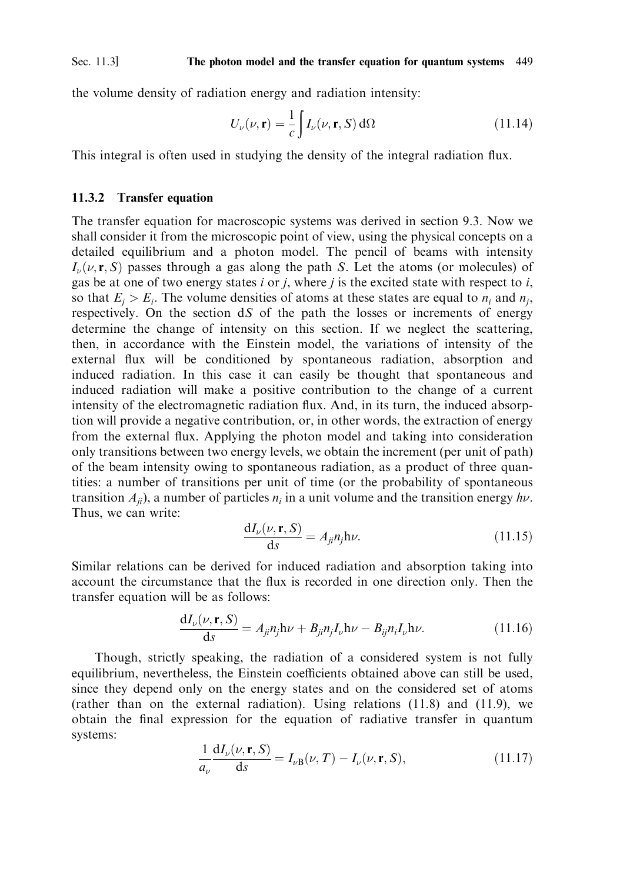the volume density of radiation energy and radiation intensity:

$$
U_{\nu}(\nu, \mathbf{r}) = \frac{1}{c} \int I_{\nu}(\nu, \mathbf{r}, S) d\Omega \qquad (11.14)
$$

This integral is often used in studying the density of the integral radiation flux.

## 11.3.2 Transfer equation

The transfer equation for macroscopic systems was derived in section 9.3. Now we shall consider it from the microscopic point of view, using the physical concepts on a detailed equilibrium and a photon model. The pencil of beams with intensity  $I_{\nu}(\nu, \mathbf{r}, S)$  passes through a gas along the path S. Let the atoms (or molecules) of gas be at one of two energy states  $i$  or  $j$ , where  $j$  is the excited state with respect to  $i$ , so that  $E_i > E_i$ . The volume densities of atoms at these states are equal to  $n_i$  and  $n_i$ , respectively. On the section dS of the path the losses or increments of energy determine the change of intensity on this section. If we neglect the scattering, then, in accordance with the Einstein model, the variations of intensity of the external flux will be conditioned by spontaneous radiation, absorption and induced radiation. In this case it can easily be thought that spontaneous and induced radiation will make a positive contribution to the change of a current intensity of the electromagnetic radiation flux. And, in its turn, the induced absorption will provide a negative contribution, or, in other words, the extraction of energy from the external flux. Applying the photon model and taking into consideration only transitions between two energy levels, we obtain the increment (per unit of path) of the beam intensity owing to spontaneous radiation, as a product of three quantities: a number of transitions per unit of time (or the probability of spontaneous transition  $A_{ii}$ ), a number of particles  $n_i$  in a unit volume and the transition energy  $h\nu$ . Thus, we can write:

$$
\frac{dI_{\nu}(\nu, \mathbf{r}, S)}{ds} = A_{ji} n_j h \nu.
$$
 (11.15)

Similar relations can be derived for induced radiation and absorption taking into account the circumstance that the flux is recorded in one direction only. Then the transfer equation will be as follows:

$$
\frac{\mathrm{d}I_{\nu}(\nu,\mathbf{r},S)}{\mathrm{d}s} = A_{ji}n_jh\nu + B_{ji}n_jI_{\nu}h\nu - B_{ij}n_iI_{\nu}h\nu.
$$
 (11.16)

Though, strictly speaking, the radiation of a considered system is not fully equilibrium, nevertheless, the Einstein coefficients obtained above can still be used, since they depend only on the energy states and on the considered set of atoms (rather than on the external radiation). Using relations  $(11.8)$  and  $(11.9)$ , we obtain the final expression for the equation of radiative transfer in quantum systems:

$$
\frac{1}{a_{\nu}}\frac{dI_{\nu}(\nu,\mathbf{r},S)}{ds} = I_{\nu B}(\nu,T) - I_{\nu}(\nu,\mathbf{r},S),
$$
\n(11.17)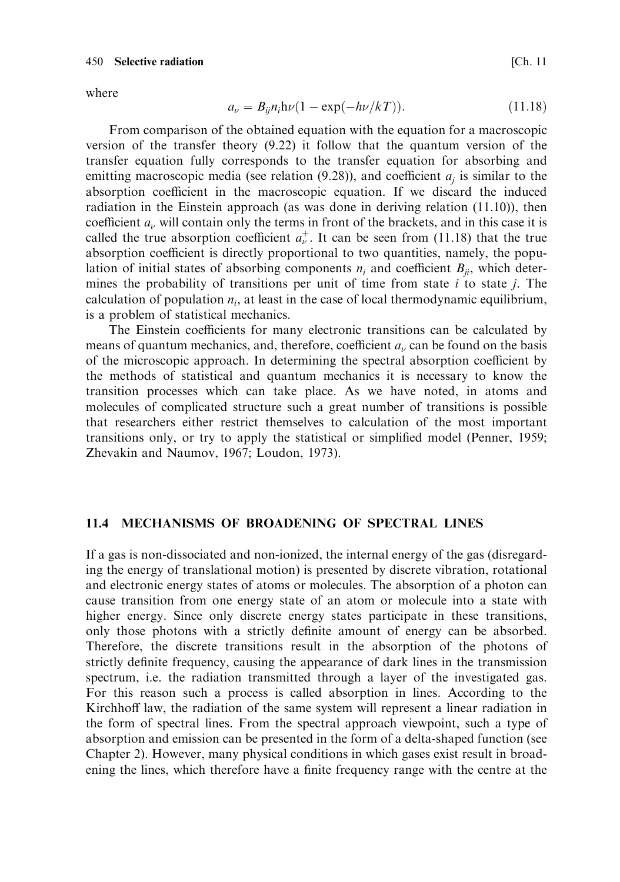#### 450 Selective radiation

where

$$
a_{\nu} = B_{ij} n_i h \nu (1 - \exp(-h\nu/kT)). \tag{11.18}
$$

From comparison of the obtained equation with the equation for a macroscopic version of the transfer theory  $(9.22)$  it follow that the quantum version of the transfer equation fully corresponds to the transfer equation for absorbing and emitting macroscopic media (see relation (9.28)), and coefficient  $a_i$  is similar to the absorption coefficient in the macroscopic equation. If we discard the induced radiation in the Einstein approach (as was done in deriving relation  $(11.10)$ ), then coefficient  $a_{\nu}$  will contain only the terms in front of the brackets, and in this case it is called the true absorption coefficient  $a_{\nu}^+$ . It can be seen from (11.18) that the true absorption coefficient is directly proportional to two quantities, namely, the population of initial states of absorbing components  $n_i$  and coefficient  $B_{ii}$ , which determines the probability of transitions per unit of time from state  $i$  to state  $j$ . The calculation of population  $n_i$ , at least in the case of local thermodynamic equilibrium, is a problem of statistical mechanics.

The Einstein coefficients for many electronic transitions can be calculated by means of quantum mechanics, and, therefore, coefficient  $a<sub>\nu</sub>$  can be found on the basis of the microscopic approach. In determining the spectral absorption coefficient by the methods of statistical and quantum mechanics it is necessary to know the transition processes which can take place. As we have noted, in atoms and molecules of complicated structure such a great number of transitions is possible that researchers either restrict themselves to calculation of the most important transitions only, or try to apply the statistical or simplified model (Penner, 1959; Zhevakin and Naumov, 1967; Loudon, 1973).

#### 11.4 MECHANISMS OF BROADENING OF SPECTRAL LINES

If a gas is non-dissociated and non-ionized, the internal energy of the gas (disregarding the energy of translational motion) is presented by discrete vibration, rotational and electronic energy states of atoms or molecules. The absorption of a photon can cause transition from one energy state of an atom or molecule into a state with higher energy. Since only discrete energy states participate in these transitions, only those photons with a strictly definite amount of energy can be absorbed. Therefore, the discrete transitions result in the absorption of the photons of strictly definite frequency, causing the appearance of dark lines in the transmission spectrum, i.e. the radiation transmitted through a layer of the investigated gas. For this reason such a process is called absorption in lines. According to the Kirchhoff law, the radiation of the same system will represent a linear radiation in the form of spectral lines. From the spectral approach viewpoint, such a type of absorption and emission can be presented in the form of a delta-shaped function (see Chapter 2). However, many physical conditions in which gases exist result in broadening the lines, which therefore have a finite frequency range with the centre at the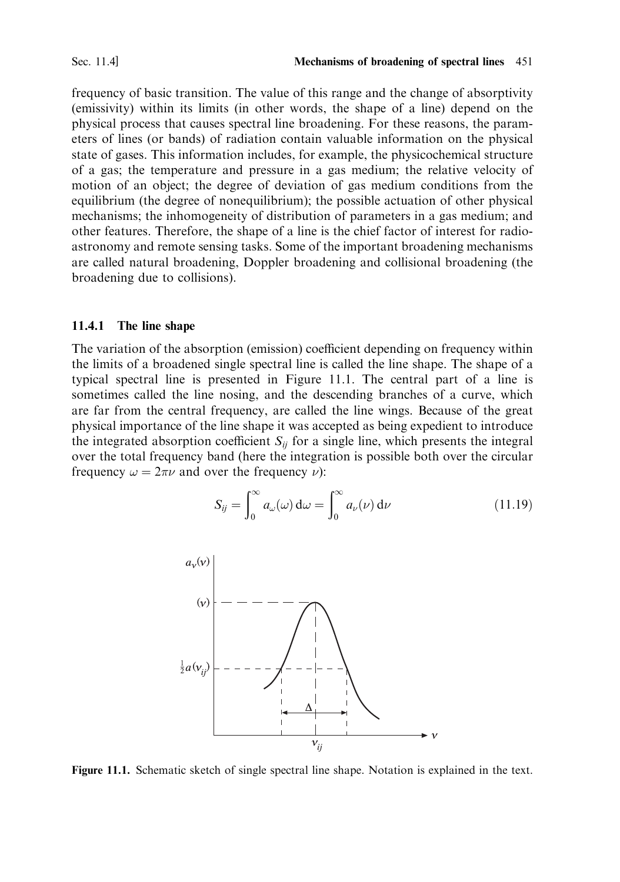frequency of basic transition. The value of this range and the change of absorptivity (emissivity) within its limits (in other words, the shape of a line) depend on the physical process that causes spectral line broadening. For these reasons, the parameters of lines (or bands) of radiation contain valuable information on the physical state of gases. This information includes, for example, the physicochemical structure of a gas; the temperature and pressure in a gas medium; the relative velocity of motion of an object; the degree of deviation of gas medium conditions from the equilibrium (the degree of nonequilibrium); the possible actuation of other physical mechanisms; the inhomogeneity of distribution of parameters in a gas medium; and other features. Therefore, the shape of a line is the chief factor of interest for radioastronomy and remote sensing tasks. Some of the important broadening mechanisms are called natural broadening, Doppler broadening and collisional broadening (the broadening due to collisions).

#### 11.4.1 The line shape

The variation of the absorption (emission) coefficient depending on frequency within the limits of a broadened single spectral line is called the line shape. The shape of a typical spectral line is presented in Figure 11.1. The central part of a line is sometimes called the line nosing, and the descending branches of a curve, which are far from the central frequency, are called the line wings. Because of the great physical importance of the line shape it was accepted as being expedient to introduce the integrated absorption coefficient  $S_{ij}$  for a single line, which presents the integral over the total frequency band (here the integration is possible both over the circular frequency  $\omega = 2\pi\nu$  and over the frequency  $\nu$ ):

$$
S_{ij} = \int_0^\infty a_\omega(\omega) \, d\omega = \int_0^\infty a_\nu(\nu) \, d\nu \tag{11.19}
$$



Figure 11.1. Schematic sketch of single spectral line shape. Notation is explained in the text.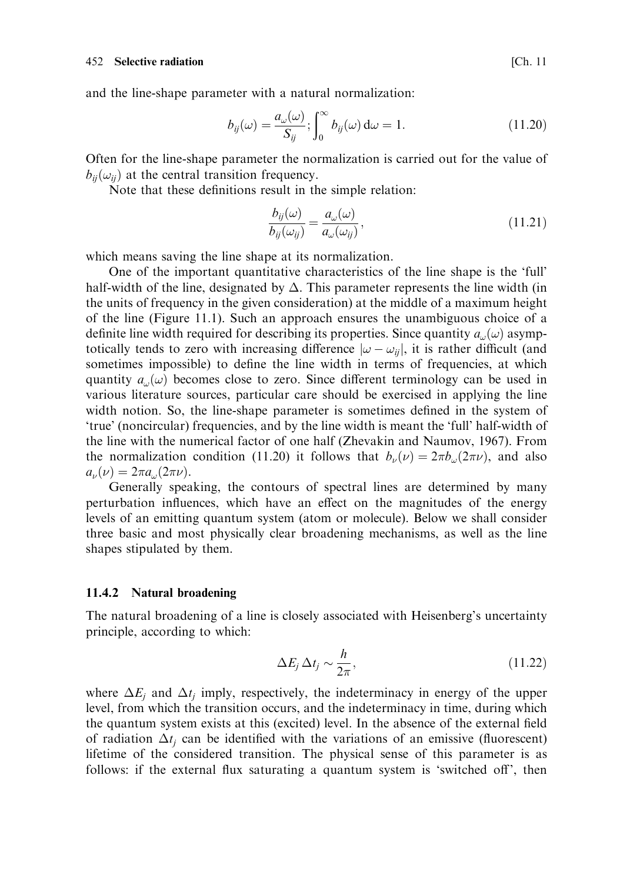and the line-shape parameter with a natural normalization:

$$
b_{ij}(\omega) = \frac{a_{\omega}(\omega)}{S_{ij}}; \int_0^{\infty} b_{ij}(\omega) d\omega = 1.
$$
 (11.20)

Often for the line-shape parameter the normalization is carried out for the value of  $b_{ii}(\omega_{ii})$  at the central transition frequency.

Note that these definitions result in the simple relation:

$$
\frac{b_{ij}(\omega)}{b_{ij}(\omega_{ij})} = \frac{a_{\omega}(\omega)}{a_{\omega}(\omega_{ij})},
$$
\n(11.21)

which means saving the line shape at its normalization.

One of the important quantitative characteristics of the line shape is the 'full' half-width of the line, designated by  $\Delta$ . This parameter represents the line width (in the units of frequency in the given consideration) at the middle of a maximum height of the line (Figure 11.1). Such an approach ensures the unambiguous choice of a definite line width required for describing its properties. Since quantity  $a_{\omega}(\omega)$  asymptotically tends to zero with increasing difference  $|\omega - \omega_{ii}|$ , it is rather difficult (and sometimes impossible) to define the line width in terms of frequencies, at which quantity  $a_{\omega}(\omega)$  becomes close to zero. Since different terminology can be used in various literature sources, particular care should be exercised in applying the line width notion. So, the line-shape parameter is sometimes defined in the system of 'true' (noncircular) frequencies, and by the line width is meant the 'full' half-width of the line with the numerical factor of one half (Zhevakin and Naumov, 1967). From the normalization condition (11.20) it follows that  $b_{\nu}(\nu) = 2\pi b_{\nu}(2\pi\nu)$ , and also  $a_{\nu}(\nu) = 2\pi a_{\nu}(2\pi\nu).$ 

Generally speaking, the contours of spectral lines are determined by many perturbation influences, which have an effect on the magnitudes of the energy levels of an emitting quantum system (atom or molecule). Below we shall consider three basic and most physically clear broadening mechanisms, as well as the line shapes stipulated by them.

#### 11.4.2 Natural broadening

The natural broadening of a line is closely associated with Heisenberg's uncertainty principle, according to which:

$$
\Delta E_j \,\Delta t_j \sim \frac{h}{2\pi},\tag{11.22}
$$

where  $\Delta E_i$  and  $\Delta t_i$  imply, respectively, the indeterminacy in energy of the upper level, from which the transition occurs, and the indeterminacy in time, during which the quantum system exists at this (excited) level. In the absence of the external field of radiation  $\Delta t_i$  can be identified with the variations of an emissive (fluorescent) lifetime of the considered transition. The physical sense of this parameter is as follows: if the external flux saturating a quantum system is 'switched off', then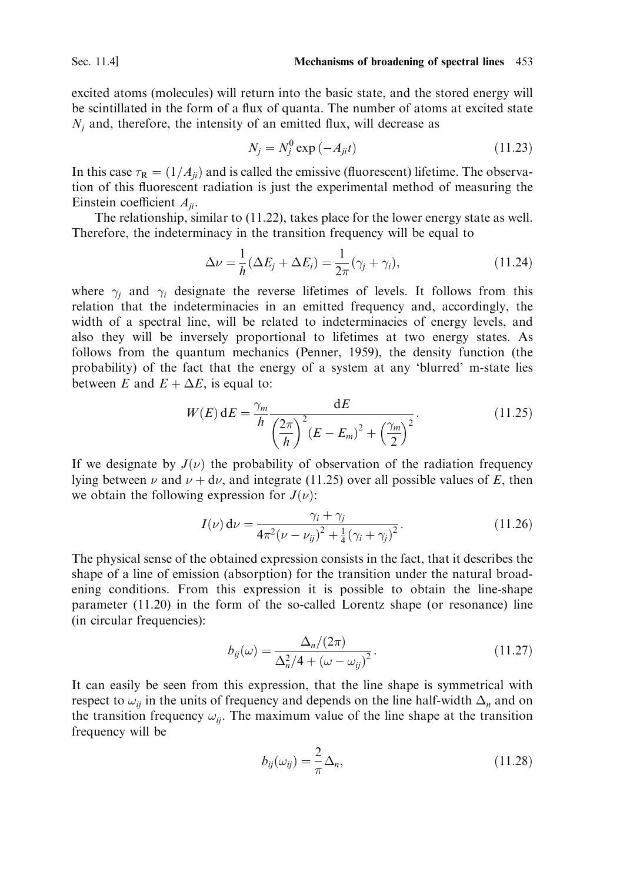Sec. 11.4]

excited atoms (molecules) will return into the basic state, and the stored energy will be scintillated in the form of a flux of quanta. The number of atoms at excited state  $N_i$  and, therefore, the intensity of an emitted flux, will decrease as

$$
N_j = N_j^0 \exp(-A_{ji}t) \tag{11.23}
$$

In this case  $\tau_R = (1/A_{ii})$  and is called the emissive (fluorescent) lifetime. The observation of this fluorescent radiation is just the experimental method of measuring the Einstein coefficient  $A_{ii}$ .

The relationship, similar to  $(11.22)$ , takes place for the lower energy state as well. Therefore, the indeterminacy in the transition frequency will be equal to

$$
\Delta \nu = \frac{1}{h} (\Delta E_j + \Delta E_i) = \frac{1}{2\pi} (\gamma_j + \gamma_i), \qquad (11.24)
$$

where  $\gamma_i$  and  $\gamma_i$  designate the reverse lifetimes of levels. It follows from this relation that the indeterminacies in an emitted frequency and, accordingly, the width of a spectral line, will be related to indeterminacies of energy levels, and also they will be inversely proportional to lifetimes at two energy states. As follows from the quantum mechanics (Penner, 1959), the density function (the probability) of the fact that the energy of a system at any 'blurred' m-state lies between E and  $E + \Delta E$ , is equal to:

$$
W(E) dE = \frac{\gamma_m}{h} \frac{dE}{\left(\frac{2\pi}{h}\right)^2 (E - E_m)^2 + \left(\frac{\gamma_m}{2}\right)^2}.
$$
\n(11.25)

If we designate by  $J(\nu)$  the probability of observation of the radiation frequency lying between  $\nu$  and  $\nu + d\nu$ , and integrate (11.25) over all possible values of E, then we obtain the following expression for  $J(\nu)$ :

$$
I(\nu) d\nu = \frac{\gamma_i + \gamma_j}{4\pi^2(\nu - \nu_{ij})^2 + \frac{1}{4}(\gamma_i + \gamma_j)^2}.
$$
 (11.26)

The physical sense of the obtained expression consists in the fact, that it describes the shape of a line of emission (absorption) for the transition under the natural broadening conditions. From this expression it is possible to obtain the line-shape parameter  $(11.20)$  in the form of the so-called Lorentz shape (or resonance) line (in circular frequencies):

$$
b_{ij}(\omega) = \frac{\Delta_n/(2\pi)}{\Delta_n^2/4 + (\omega - \omega_{ij})^2}.
$$
\n(11.27)

It can easily be seen from this expression, that the line shape is symmetrical with respect to  $\omega_{ii}$  in the units of frequency and depends on the line half-width  $\Delta_n$  and on the transition frequency  $\omega_{ii}$ . The maximum value of the line shape at the transition frequency will be

$$
b_{ij}(\omega_{ij}) = \frac{2}{\pi} \Delta_n,\tag{11.28}
$$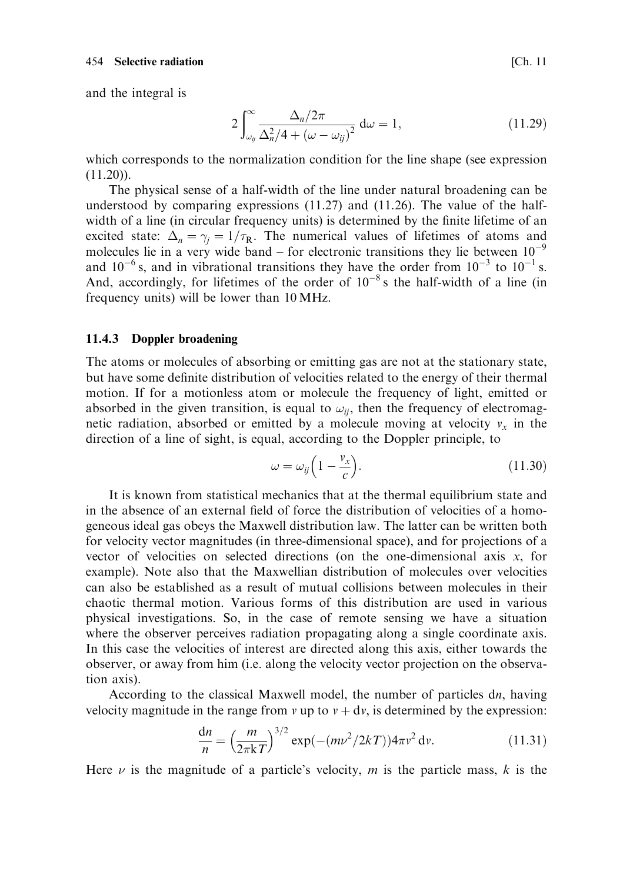#### 454 Selective radiation

$$
2\int_{\omega_{ij}}^{\infty} \frac{\Delta_n/2\pi}{\Delta_n^2/4 + (\omega - \omega_{ij})^2} d\omega = 1,
$$
 (11.29)

which corresponds to the normalization condition for the line shape (see expression  $(11.20)$ .

The physical sense of a half-width of the line under natural broadening can be understood by comparing expressions  $(11.27)$  and  $(11.26)$ . The value of the halfwidth of a line (in circular frequency units) is determined by the finite lifetime of an excited state:  $\Delta_n = \gamma_i = 1/\tau_R$ . The numerical values of lifetimes of atoms and molecules lie in a very wide band – for electronic transitions they lie between  $10^{-9}$ and  $10^{-6}$  s, and in vibrational transitions they have the order from  $10^{-3}$  to  $10^{-1}$  s. And, accordingly, for lifetimes of the order of  $10^{-8}$  s the half-width of a line (in frequency units) will be lower than 10 MHz.

## 11.4.3 Doppler broadening

The atoms or molecules of absorbing or emitting gas are not at the stationary state, but have some definite distribution of velocities related to the energy of their thermal motion. If for a motionless atom or molecule the frequency of light, emitted or absorbed in the given transition, is equal to  $\omega_{ii}$ , then the frequency of electromagnetic radiation, absorbed or emitted by a molecule moving at velocity  $v_x$  in the direction of a line of sight, is equal, according to the Doppler principle, to

$$
\omega = \omega_{ij} \left( 1 - \frac{v_x}{c} \right). \tag{11.30}
$$

It is known from statistical mechanics that at the thermal equilibrium state and in the absence of an external field of force the distribution of velocities of a homogeneous ideal gas obeys the Maxwell distribution law. The latter can be written both for velocity vector magnitudes (in three-dimensional space), and for projections of a vector of velocities on selected directions (on the one-dimensional axis  $x$ , for example). Note also that the Maxwellian distribution of molecules over velocities can also be established as a result of mutual collisions between molecules in their chaotic thermal motion. Various forms of this distribution are used in various physical investigations. So, in the case of remote sensing we have a situation where the observer perceives radiation propagating along a single coordinate axis. In this case the velocities of interest are directed along this axis, either towards the observer, or away from him (i.e. along the velocity vector projection on the observation axis).

According to the classical Maxwell model, the number of particles dn, having velocity magnitude in the range from  $v \text{ up to } v + \text{d}v$ , is determined by the expression:

$$
\frac{dn}{n} = \left(\frac{m}{2\pi kT}\right)^{3/2} \exp(-(m\nu^2/2kT)) 4\pi v^2 dv.
$$
 (11.31)

Here  $\nu$  is the magnitude of a particle's velocity, m is the particle mass, k is the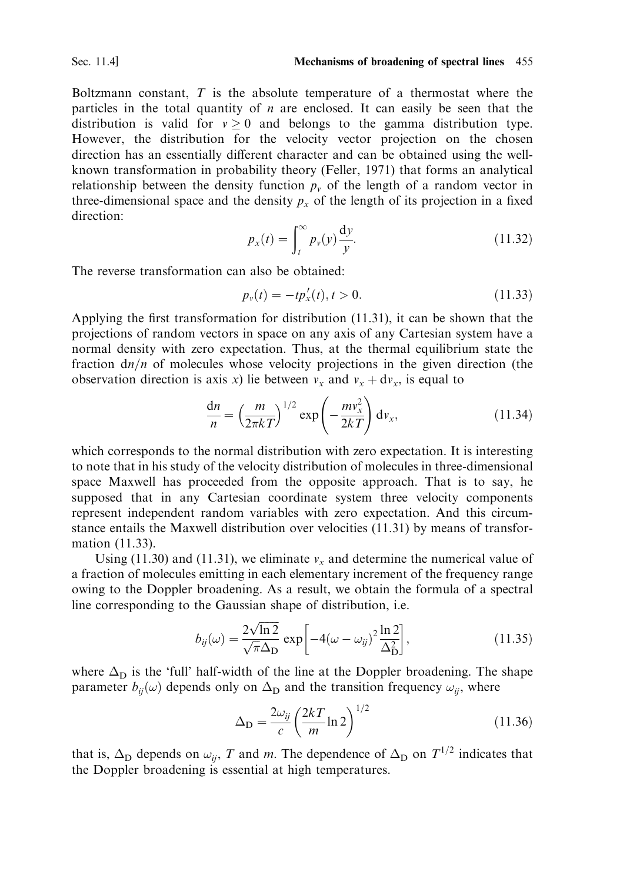Boltzmann constant,  $T$  is the absolute temperature of a thermostat where the particles in the total quantity of  $n$  are enclosed. It can easily be seen that the distribution is valid for  $v > 0$  and belongs to the gamma distribution type. However, the distribution for the velocity vector projection on the chosen direction has an essentially different character and can be obtained using the wellknown transformation in probability theory (Feller, 1971) that forms an analytical relationship between the density function  $p_y$  of the length of a random vector in three-dimensional space and the density  $p_x$  of the length of its projection in a fixed direction:

$$
p_x(t) = \int_t^\infty p_v(y) \frac{dy}{y}.\tag{11.32}
$$

The reverse transformation can also be obtained:

$$
p_v(t) = -tp'_x(t), t > 0.
$$
\n(11.33)

Applying the first transformation for distribution (11.31), it can be shown that the projections of random vectors in space on any axis of any Cartesian system have a normal density with zero expectation. Thus, at the thermal equilibrium state the fraction  $dn/n$  of molecules whose velocity projections in the given direction (the observation direction is axis x) lie between  $v_x$  and  $v_x + dv_x$ , is equal to

$$
\frac{\mathrm{d}n}{n} = \left(\frac{m}{2\pi kT}\right)^{1/2} \exp\left(-\frac{mv_x^2}{2kT}\right) \mathrm{d}v_x,\tag{11.34}
$$

which corresponds to the normal distribution with zero expectation. It is interesting to note that in his study of the velocity distribution of molecules in three-dimensional space Maxwell has proceeded from the opposite approach. That is to say, he supposed that in any Cartesian coordinate system three velocity components represent independent random variables with zero expectation. And this circumstance entails the Maxwell distribution over velocities (11.31) by means of transformation (11.33).

Using (11.30) and (11.31), we eliminate  $v_x$  and determine the numerical value of a fraction of molecules emitting in each elementary increment of the frequency range owing to the Doppler broadening. As a result, we obtain the formula of a spectral line corresponding to the Gaussian shape of distribution, *i.e.* 

$$
b_{ij}(\omega) = \frac{2\sqrt{\ln 2}}{\sqrt{\pi} \Delta_{\mathcal{D}}} \exp\left[-4(\omega - \omega_{ij})^2 \frac{\ln 2}{\Delta_{\mathcal{D}}^2}\right],\tag{11.35}
$$

where  $\Delta_D$  is the 'full' half-width of the line at the Doppler broadening. The shape parameter  $b_{ii}(\omega)$  depends only on  $\Delta_{D}$  and the transition frequency  $\omega_{ii}$ , where

$$
\Delta_{\rm D} = \frac{2\omega_{ij}}{c} \left(\frac{2kT}{m} \ln 2\right)^{1/2} \tag{11.36}
$$

that is,  $\Delta_{\rm D}$  depends on  $\omega_{ij}$ , T and m. The dependence of  $\Delta_{\rm D}$  on  $T^{1/2}$  indicates that the Doppler broadening is essential at high temperatures.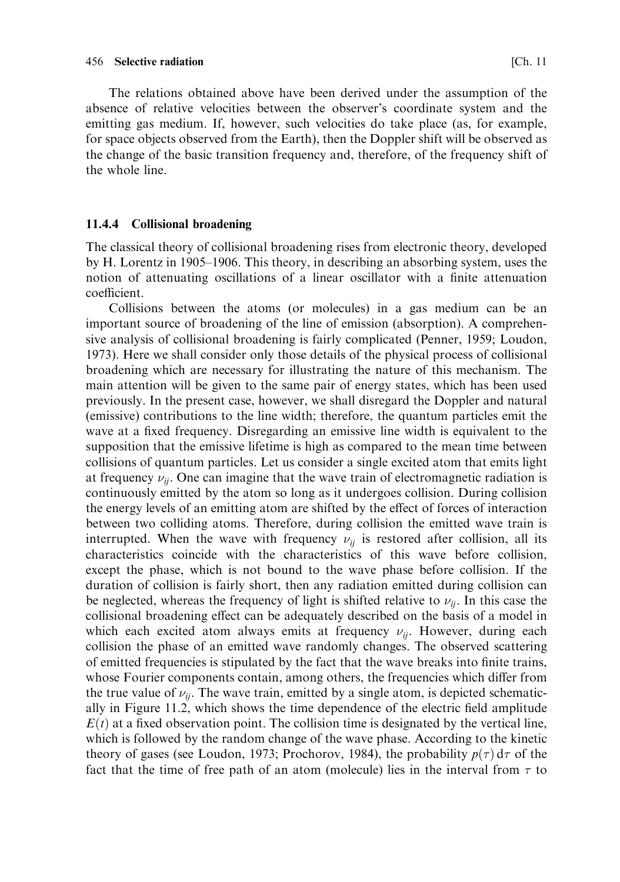The relations obtained above have been derived under the assumption of the absence of relative velocities between the observer's coordinate system and the emitting gas medium. If, however, such velocities do take place (as, for example, for space objects observed from the Earth), then the Doppler shift will be observed as the change of the basic transition frequency and, therefore, of the frequency shift of the whole line.

#### **Collisional broadening** 11.4.4

The classical theory of collisional broadening rises from electronic theory, developed by H. Lorentz in 1905–1906. This theory, in describing an absorbing system, uses the notion of attenuating oscillations of a linear oscillator with a finite attenuation coefficient.

Collisions between the atoms (or molecules) in a gas medium can be an important source of broadening of the line of emission (absorption). A comprehensive analysis of collisional broadening is fairly complicated (Penner, 1959; Loudon, 1973). Here we shall consider only those details of the physical process of collisional broadening which are necessary for illustrating the nature of this mechanism. The main attention will be given to the same pair of energy states, which has been used previously. In the present case, however, we shall disregard the Doppler and natural (emissive) contributions to the line width; therefore, the quantum particles emit the wave at a fixed frequency. Disregarding an emissive line width is equivalent to the supposition that the emissive lifetime is high as compared to the mean time between collisions of quantum particles. Let us consider a single excited atom that emits light at frequency  $\nu_{ii}$ . One can imagine that the wave train of electromagnetic radiation is continuously emitted by the atom so long as it undergoes collision. During collision the energy levels of an emitting atom are shifted by the effect of forces of interaction between two colliding atoms. Therefore, during collision the emitted wave train is interrupted. When the wave with frequency  $\nu_{ii}$  is restored after collision, all its characteristics coincide with the characteristics of this wave before collision, except the phase, which is not bound to the wave phase before collision. If the duration of collision is fairly short, then any radiation emitted during collision can be neglected, whereas the frequency of light is shifted relative to  $\nu_{ii}$ . In this case the collisional broadening effect can be adequately described on the basis of a model in which each excited atom always emits at frequency  $\nu_{ii}$ . However, during each collision the phase of an emitted wave randomly changes. The observed scattering of emitted frequencies is stipulated by the fact that the wave breaks into finite trains, whose Fourier components contain, among others, the frequencies which differ from the true value of  $\nu_{ii}$ . The wave train, emitted by a single atom, is depicted schematically in Figure 11.2, which shows the time dependence of the electric field amplitude  $E(t)$  at a fixed observation point. The collision time is designated by the vertical line, which is followed by the random change of the wave phase. According to the kinetic theory of gases (see Loudon, 1973; Prochorov, 1984), the probability  $p(\tau) d\tau$  of the fact that the time of free path of an atom (molecule) lies in the interval from  $\tau$  to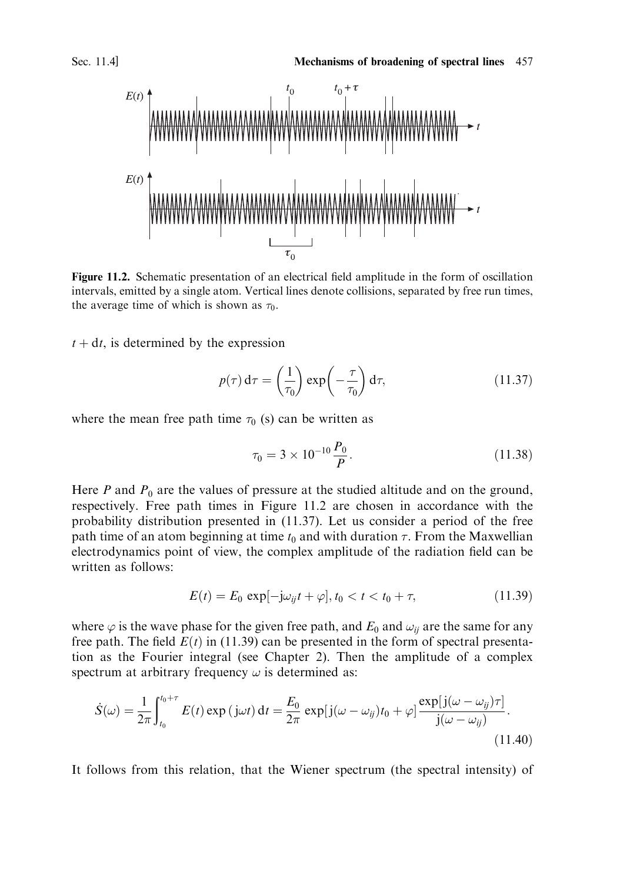

Figure 11.2. Schematic presentation of an electrical field amplitude in the form of oscillation intervals, emitted by a single atom. Vertical lines denote collisions, separated by free run times, the average time of which is shown as  $\tau_0$ .

 $t + dt$ , is determined by the expression

$$
p(\tau) d\tau = \left(\frac{1}{\tau_0}\right) \exp\left(-\frac{\tau}{\tau_0}\right) d\tau,
$$
 (11.37)

where the mean free path time  $\tau_0$  (s) can be written as

$$
\tau_0 = 3 \times 10^{-10} \frac{P_0}{P}.\tag{11.38}
$$

Here  $P$  and  $P_0$  are the values of pressure at the studied altitude and on the ground, respectively. Free path times in Figure 11.2 are chosen in accordance with the probability distribution presented in (11.37). Let us consider a period of the free path time of an atom beginning at time  $t_0$  and with duration  $\tau$ . From the Maxwellian electrodynamics point of view, the complex amplitude of the radiation field can be written as follows:

$$
E(t) = E_0 \exp[-j\omega_{ij}t + \varphi], t_0 < t < t_0 + \tau,\tag{11.39}
$$

where  $\varphi$  is the wave phase for the given free path, and  $E_0$  and  $\omega_{ii}$  are the same for any free path. The field  $E(t)$  in (11.39) can be presented in the form of spectral presentation as the Fourier integral (see Chapter 2). Then the amplitude of a complex spectrum at arbitrary frequency  $\omega$  is determined as:

$$
\dot{S}(\omega) = \frac{1}{2\pi} \int_{t_0}^{t_0 + \tau} E(t) \exp\left(\frac{\mathrm{j}\omega t}{2\pi} \right) dt = \frac{E_0}{2\pi} \exp\left[\frac{\mathrm{j}(\omega - \omega_{ij})t_0 + \varphi\right] \frac{\exp\left[\frac{\mathrm{j}(\omega - \omega_{ij})\tau}{2}\right]}{\mathrm{j}(\omega - \omega_{ij})}.
$$
\n(11.40)

It follows from this relation, that the Wiener spectrum (the spectral intensity) of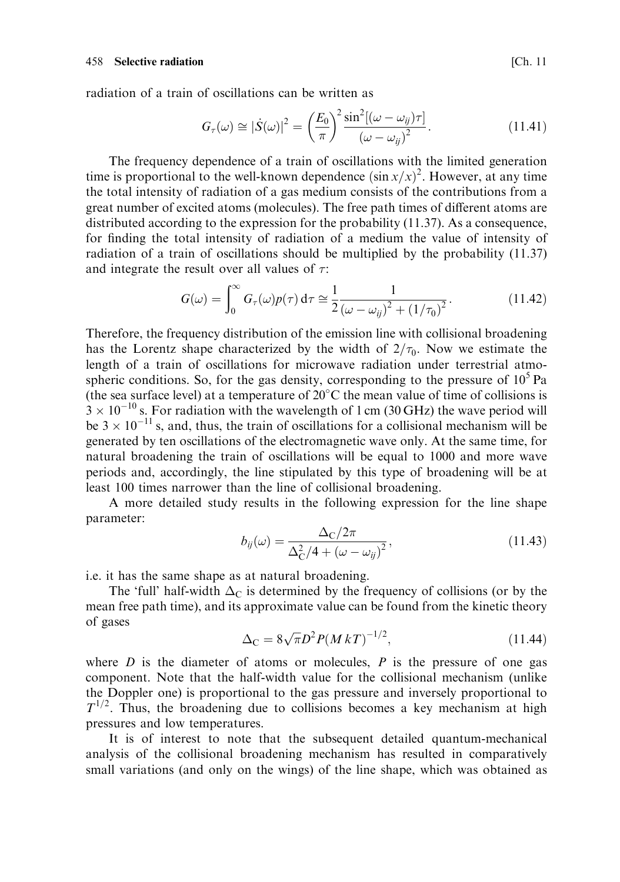radiation of a train of oscillations can be written as

$$
G_{\tau}(\omega) \cong |\dot{S}(\omega)|^2 = \left(\frac{E_0}{\pi}\right)^2 \frac{\sin^2[(\omega - \omega_{ij})\tau]}{(\omega - \omega_{ij})^2}.
$$
 (11.41)

The frequency dependence of a train of oscillations with the limited generation time is proportional to the well-known dependence  $(\sin x/x)^2$ . However, at any time the total intensity of radiation of a gas medium consists of the contributions from a great number of excited atoms (molecules). The free path times of different atoms are distributed according to the expression for the probability (11.37). As a consequence, for finding the total intensity of radiation of a medium the value of intensity of radiation of a train of oscillations should be multiplied by the probability (11.37) and integrate the result over all values of  $\tau$ :

$$
G(\omega) = \int_0^\infty G_\tau(\omega) p(\tau) \, \mathrm{d}\tau \cong \frac{1}{2} \frac{1}{(\omega - \omega_{ij})^2 + (1/\tau_0)^2}.
$$
 (11.42)

Therefore, the frequency distribution of the emission line with collisional broadening has the Lorentz shape characterized by the width of  $2/\tau_0$ . Now we estimate the length of a train of oscillations for microwave radiation under terrestrial atmospheric conditions. So, for the gas density, corresponding to the pressure of  $10^5$  Pa (the sea surface level) at a temperature of  $20^{\circ}$ C the mean value of time of collisions is  $3 \times 10^{-10}$  s. For radiation with the wavelength of 1 cm (30 GHz) the wave period will be  $3 \times 10^{-11}$  s, and, thus, the train of oscillations for a collisional mechanism will be generated by ten oscillations of the electromagnetic wave only. At the same time, for natural broadening the train of oscillations will be equal to 1000 and more wave periods and, accordingly, the line stipulated by this type of broadening will be at least 100 times narrower than the line of collisional broadening.

A more detailed study results in the following expression for the line shape parameter:

$$
b_{ij}(\omega) = \frac{\Delta_{\rm C}/2\pi}{\Delta_{\rm C}^2/4 + (\omega - \omega_{ij})^2},\tag{11.43}
$$

i.e. it has the same shape as at natural broadening.

The 'full' half-width  $\Delta_C$  is determined by the frequency of collisions (or by the mean free path time), and its approximate value can be found from the kinetic theory of gases

$$
\Delta_{\rm C} = 8\sqrt{\pi}D^2 P(M kT)^{-1/2},\tag{11.44}
$$

where  $D$  is the diameter of atoms or molecules,  $P$  is the pressure of one gas component. Note that the half-width value for the collisional mechanism (unlike the Doppler one) is proportional to the gas pressure and inversely proportional to  $T^{1/2}$ . Thus, the broadening due to collisions becomes a key mechanism at high pressures and low temperatures.

It is of interest to note that the subsequent detailed quantum-mechanical analysis of the collisional broadening mechanism has resulted in comparatively small variations (and only on the wings) of the line shape, which was obtained as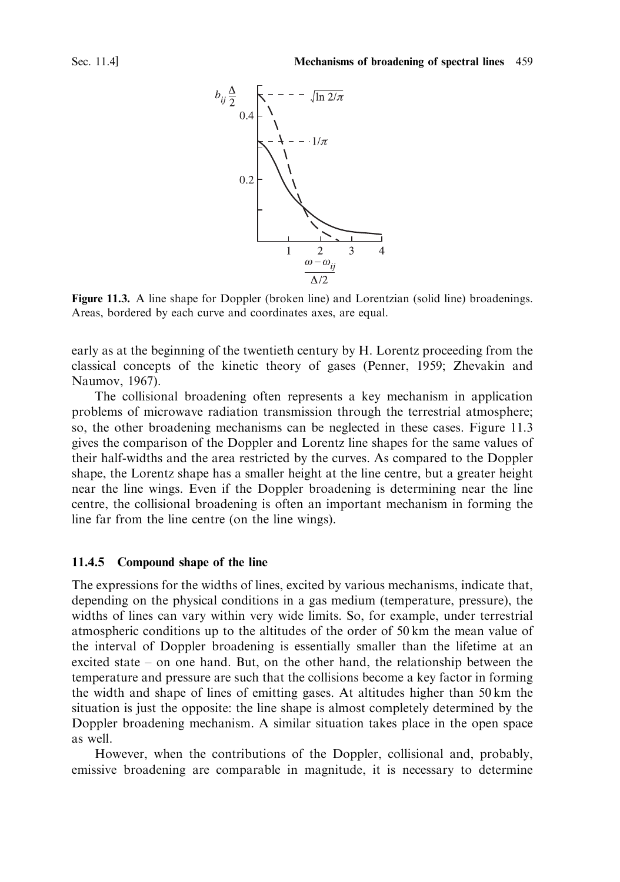

**Figure 11.3.** A line shape for Doppler (broken line) and Lorentzian (solid line) broadenings. Areas, bordered by each curve and coordinates axes, are equal.

early as at the beginning of the twentieth century by H. Lorentz proceeding from the classical concepts of the kinetic theory of gases (Penner, 1959; Zhevakin and Naumov, 1967).

The collisional broadening often represents a key mechanism in application problems of microwave radiation transmission through the terrestrial atmosphere; so, the other broadening mechanisms can be neglected in these cases. Figure 11.3 gives the comparison of the Doppler and Lorentz line shapes for the same values of their half-widths and the area restricted by the curves. As compared to the Doppler shape, the Lorentz shape has a smaller height at the line centre, but a greater height near the line wings. Even if the Doppler broadening is determining near the line centre, the collisional broadening is often an important mechanism in forming the line far from the line centre (on the line wings).

## 11.4.5 Compound shape of the line

The expressions for the widths of lines, excited by various mechanisms, indicate that, depending on the physical conditions in a gas medium (temperature, pressure), the widths of lines can vary within very wide limits. So, for example, under terrestrial atmospheric conditions up to the altitudes of the order of 50 km the mean value of the interval of Doppler broadening is essentially smaller than the lifetime at an excited state – on one hand. But, on the other hand, the relationship between the temperature and pressure are such that the collisions become a key factor in forming the width and shape of lines of emitting gases. At altitudes higher than 50 km the situation is just the opposite: the line shape is almost completely determined by the Doppler broadening mechanism. A similar situation takes place in the open space as well.

However, when the contributions of the Doppler, collisional and, probably, emissive broadening are comparable in magnitude, it is necessary to determine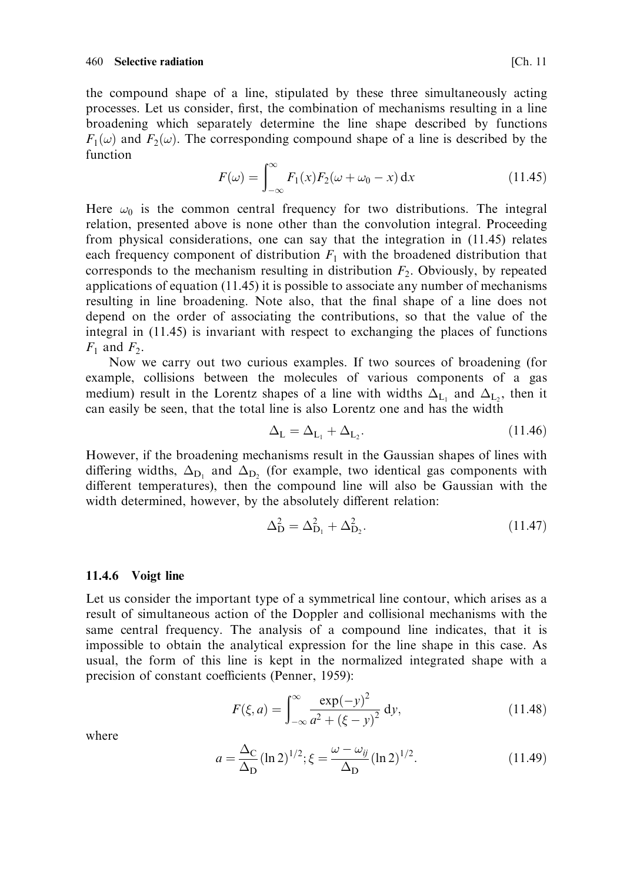the compound shape of a line, stipulated by these three simultaneously acting processes. Let us consider, first, the combination of mechanisms resulting in a line broadening which separately determine the line shape described by functions  $F_1(\omega)$  and  $F_2(\omega)$ . The corresponding compound shape of a line is described by the function

$$
F(\omega) = \int_{-\infty}^{\infty} F_1(x) F_2(\omega + \omega_0 - x) dx \qquad (11.45)
$$

Here  $\omega_0$  is the common central frequency for two distributions. The integral relation, presented above is none other than the convolution integral. Proceeding from physical considerations, one can say that the integration in (11.45) relates each frequency component of distribution  $F_1$  with the broadened distribution that corresponds to the mechanism resulting in distribution  $F_2$ . Obviously, by repeated applications of equation  $(11.45)$  it is possible to associate any number of mechanisms resulting in line broadening. Note also, that the final shape of a line does not depend on the order of associating the contributions, so that the value of the integral in  $(11.45)$  is invariant with respect to exchanging the places of functions  $F_1$  and  $F_2$ .

Now we carry out two curious examples. If two sources of broadening (for example, collisions between the molecules of various components of a gas medium) result in the Lorentz shapes of a line with widths  $\Delta_{L_1}$  and  $\Delta_{L_2}$ , then it can easily be seen, that the total line is also Lorentz one and has the width

$$
\Delta_{\mathcal{L}} = \Delta_{\mathcal{L}_1} + \Delta_{\mathcal{L}_2}.\tag{11.46}
$$

However, if the broadening mechanisms result in the Gaussian shapes of lines with differing widths,  $\Delta_{D_1}$  and  $\Delta_{D_2}$  (for example, two identical gas components with different temperatures), then the compound line will also be Gaussian with the width determined, however, by the absolutely different relation:

$$
\Delta_{\mathbf{D}}^2 = \Delta_{\mathbf{D}_1}^2 + \Delta_{\mathbf{D}_2}^2. \tag{11.47}
$$

#### 11.4.6 Voigt line

Let us consider the important type of a symmetrical line contour, which arises as a result of simultaneous action of the Doppler and collisional mechanisms with the same central frequency. The analysis of a compound line indicates, that it is impossible to obtain the analytical expression for the line shape in this case. As usual, the form of this line is kept in the normalized integrated shape with a precision of constant coefficients (Penner, 1959):

$$
F(\xi, a) = \int_{-\infty}^{\infty} \frac{\exp(-y)^2}{a^2 + (\xi - y)^2} \, \mathrm{d}y,\tag{11.48}
$$

where

$$
a = \frac{\Delta_C}{\Delta_D} (\ln 2)^{1/2}; \xi = \frac{\omega - \omega_{ij}}{\Delta_D} (\ln 2)^{1/2}.
$$
 (11.49)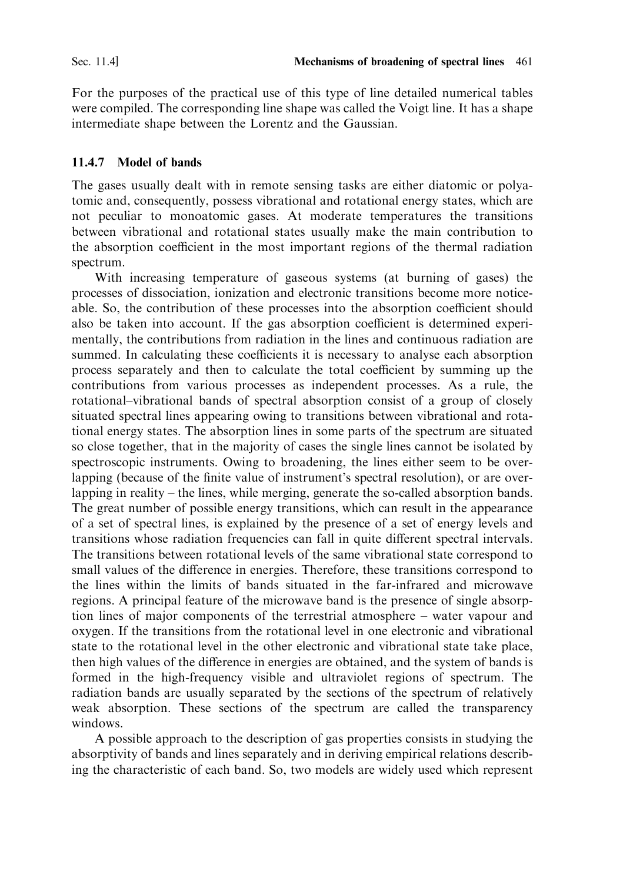For the purposes of the practical use of this type of line detailed numerical tables were compiled. The corresponding line shape was called the Voigt line. It has a shape intermediate shape between the Lorentz and the Gaussian.

## 11.4.7 Model of bands

The gases usually dealt with in remote sensing tasks are either diatomic or polyatomic and, consequently, possess vibrational and rotational energy states, which are not peculiar to monoatomic gases. At moderate temperatures the transitions between vibrational and rotational states usually make the main contribution to the absorption coefficient in the most important regions of the thermal radiation spectrum.

With increasing temperature of gaseous systems (at burning of gases) the processes of dissociation, ionization and electronic transitions become more noticeable. So, the contribution of these processes into the absorption coefficient should also be taken into account. If the gas absorption coefficient is determined experimentally, the contributions from radiation in the lines and continuous radiation are summed. In calculating these coefficients it is necessary to analyse each absorption process separately and then to calculate the total coefficient by summing up the contributions from various processes as independent processes. As a rule, the rotational–vibrational bands of spectral absorption consist of a group of closely situated spectral lines appearing owing to transitions between vibrational and rotational energy states. The absorption lines in some parts of the spectrum are situated so close together, that in the majority of cases the single lines cannot be isolated by spectroscopic instruments. Owing to broadening, the lines either seem to be overlapping (because of the finite value of instrument's spectral resolution), or are overlapping in reality – the lines, while merging, generate the so-called absorption bands. The great number of possible energy transitions, which can result in the appearance of a set of spectral lines, is explained by the presence of a set of energy levels and transitions whose radiation frequencies can fall in quite different spectral intervals. The transitions between rotational levels of the same vibrational state correspond to small values of the difference in energies. Therefore, these transitions correspond to the lines within the limits of bands situated in the far-infrared and microwave regions. A principal feature of the microwave band is the presence of single absorption lines of major components of the terrestrial atmosphere – water vapour and oxygen. If the transitions from the rotational level in one electronic and vibrational state to the rotational level in the other electronic and vibrational state take place, then high values of the difference in energies are obtained, and the system of bands is formed in the high-frequency visible and ultraviolet regions of spectrum. The radiation bands are usually separated by the sections of the spectrum of relatively weak absorption. These sections of the spectrum are called the transparency windows.

A possible approach to the description of gas properties consists in studying the absorptivity of bands and lines separately and in deriving empirical relations describing the characteristic of each band. So, two models are widely used which represent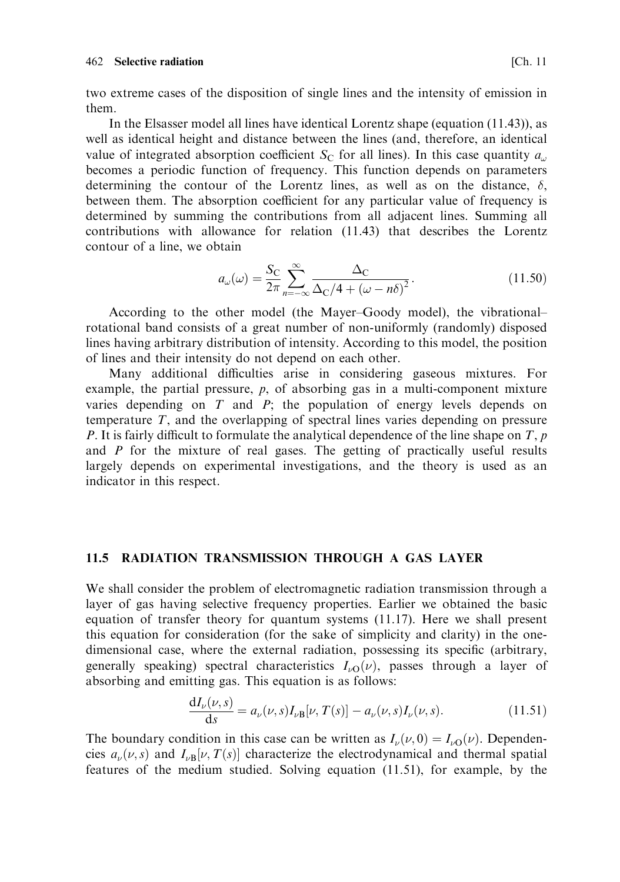two extreme cases of the disposition of single lines and the intensity of emission in them.

In the Elsasser model all lines have identical Lorentz shape (equation  $(11.43)$ ), as well as identical height and distance between the lines (and, therefore, an identical value of integrated absorption coefficient  $S_c$  for all lines). In this case quantity  $a_c$ becomes a periodic function of frequency. This function depends on parameters determining the contour of the Lorentz lines, as well as on the distance,  $\delta$ , between them. The absorption coefficient for any particular value of frequency is determined by summing the contributions from all adjacent lines. Summing all contributions with allowance for relation (11.43) that describes the Lorentz contour of a line, we obtain

$$
a_{\omega}(\omega) = \frac{S_{\rm C}}{2\pi} \sum_{n=-\infty}^{\infty} \frac{\Delta_{\rm C}}{\Delta_{\rm C}/4 + (\omega - n\delta)^2}.
$$
 (11.50)

According to the other model (the Mayer-Goody model), the vibrationalrotational band consists of a great number of non-uniformly (randomly) disposed lines having arbitrary distribution of intensity. According to this model, the position of lines and their intensity do not depend on each other.

Many additional difficulties arise in considering gaseous mixtures. For example, the partial pressure,  $p$ , of absorbing gas in a multi-component mixture varies depending on  $T$  and  $P$ ; the population of energy levels depends on temperature  $T$ , and the overlapping of spectral lines varies depending on pressure P. It is fairly difficult to formulate the analytical dependence of the line shape on  $T, p$ and P for the mixture of real gases. The getting of practically useful results largely depends on experimental investigations, and the theory is used as an indicator in this respect.

#### $11.5$ RADIATION TRANSMISSION THROUGH A GAS LAYER

We shall consider the problem of electromagnetic radiation transmission through a layer of gas having selective frequency properties. Earlier we obtained the basic equation of transfer theory for quantum systems  $(11.17)$ . Here we shall present this equation for consideration (for the sake of simplicity and clarity) in the onedimensional case, where the external radiation, possessing its specific (arbitrary, generally speaking) spectral characteristics  $I_{\nu 0}(\nu)$ , passes through a layer of absorbing and emitting gas. This equation is as follows:

$$
\frac{dI_{\nu}(\nu, s)}{ds} = a_{\nu}(\nu, s)I_{\nu B}[\nu, T(s)] - a_{\nu}(\nu, s)I_{\nu}(\nu, s).
$$
 (11.51)

The boundary condition in this case can be written as  $I_{\nu}(\nu, 0) = I_{\nu 0}(\nu)$ . Dependencies  $a_{\nu}(\nu, s)$  and  $I_{\nu B}[\nu, T(s)]$  characterize the electrodynamical and thermal spatial features of the medium studied. Solving equation (11.51), for example, by the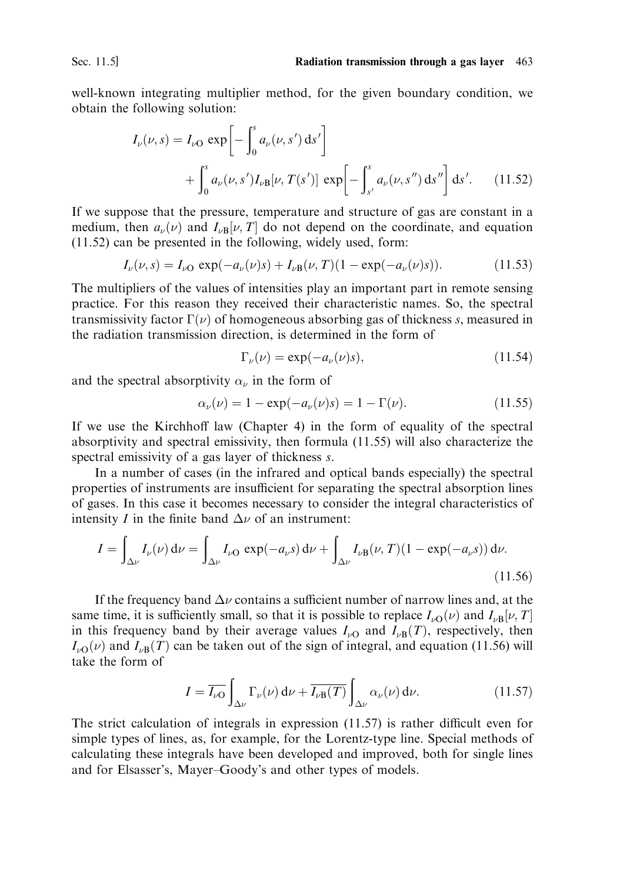Sec. 11.5]

well-known integrating multiplier method, for the given boundary condition, we obtain the following solution:

$$
I_{\nu}(\nu, s) = I_{\nu\text{O}} \exp\left[-\int_{0}^{s} a_{\nu}(\nu, s') \, \text{d}s'\right] + \int_{0}^{s} a_{\nu}(\nu, s') I_{\nu\text{B}}[\nu, T(s')] \exp\left[-\int_{s'}^{s} a_{\nu}(\nu, s'') \, \text{d}s''\right] \text{d}s'. \tag{11.52}
$$

If we suppose that the pressure, temperature and structure of gas are constant in a medium, then  $a_{\nu}(\nu)$  and  $I_{\nu B}[\nu, T]$  do not depend on the coordinate, and equation  $(11.52)$  can be presented in the following, widely used, form:

$$
I_{\nu}(\nu, s) = I_{\nu O} \exp(-a_{\nu}(\nu)s) + I_{\nu B}(\nu, T)(1 - \exp(-a_{\nu}(\nu)s)).
$$
 (11.53)

The multipliers of the values of intensities play an important part in remote sensing practice. For this reason they received their characteristic names. So, the spectral transmissivity factor  $\Gamma(\nu)$  of homogeneous absorbing gas of thickness s, measured in the radiation transmission direction, is determined in the form of

$$
\Gamma_{\nu}(\nu) = \exp(-a_{\nu}(\nu)s),\tag{11.54}
$$

and the spectral absorptivity  $\alpha_{\nu}$  in the form of

$$
\alpha_{\nu}(\nu) = 1 - \exp(-a_{\nu}(\nu)s) = 1 - \Gamma(\nu). \tag{11.55}
$$

If we use the Kirchhoff law (Chapter 4) in the form of equality of the spectral absorptivity and spectral emissivity, then formula (11.55) will also characterize the spectral emissivity of a gas layer of thickness s.

In a number of cases (in the infrared and optical bands especially) the spectral properties of instruments are insufficient for separating the spectral absorption lines of gases. In this case it becomes necessary to consider the integral characteristics of intensity *I* in the finite band  $\Delta \nu$  of an instrument:

$$
I = \int_{\Delta\nu} I_{\nu}(\nu) d\nu = \int_{\Delta\nu} I_{\nu\Omega} \exp(-a_{\nu}s) d\nu + \int_{\Delta\nu} I_{\nu\Omega}(\nu, T)(1 - \exp(-a_{\nu}s)) d\nu.
$$
\n(11.56)

If the frequency band  $\Delta \nu$  contains a sufficient number of narrow lines and, at the same time, it is sufficiently small, so that it is possible to replace  $I_{\nu 0}(\nu)$  and  $I_{\nu B}[\nu, T]$ in this frequency band by their average values  $I_{\nu\Omega}$  and  $I_{\nu\Omega}(T)$ , respectively, then  $I_{\nu\Omega}(\nu)$  and  $I_{\nu B}(T)$  can be taken out of the sign of integral, and equation (11.56) will take the form of

$$
I = \overline{I_{\nu O}} \int_{\Delta \nu} \Gamma_{\nu}(\nu) d\nu + \overline{I_{\nu B}(T)} \int_{\Delta \nu} \alpha_{\nu}(\nu) d\nu.
$$
 (11.57)

The strict calculation of integrals in expression  $(11.57)$  is rather difficult even for simple types of lines, as, for example, for the Lorentz-type line. Special methods of calculating these integrals have been developed and improved, both for single lines and for Elsasser's, Mayer-Goody's and other types of models.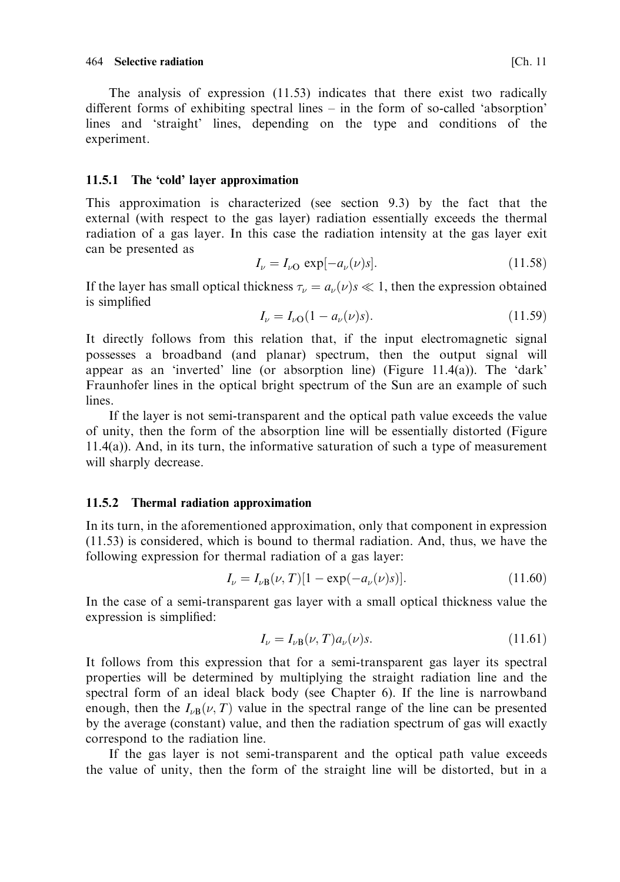The analysis of expression  $(11.53)$  indicates that there exist two radically different forms of exhibiting spectral lines  $-$  in the form of so-called 'absorption' lines and 'straight' lines, depending on the type and conditions of the experiment.

## 11.5.1 The 'cold' layer approximation

This approximation is characterized (see section 9.3) by the fact that the external (with respect to the gas layer) radiation essentially exceeds the thermal radiation of a gas layer. In this case the radiation intensity at the gas layer exit can be presented as

$$
I_{\nu} = I_{\nu O} \exp[-a_{\nu}(\nu)s]. \tag{11.58}
$$

If the layer has small optical thickness  $\tau_{\nu} = a_{\nu}(\nu)s \ll 1$ , then the expression obtained is simplified

$$
I_{\nu} = I_{\nu O}(1 - a_{\nu}(\nu)s). \tag{11.59}
$$

It directly follows from this relation that, if the input electromagnetic signal possesses a broadband (and planar) spectrum, then the output signal will appear as an 'inverted' line (or absorption line) (Figure 11.4(a)). The 'dark' Fraunhofer lines in the optical bright spectrum of the Sun are an example of such lines.

If the layer is not semi-transparent and the optical path value exceeds the value of unity, then the form of the absorption line will be essentially distorted (Figure  $11.4(a)$ ). And, in its turn, the informative saturation of such a type of measurement will sharply decrease.

## 11.5.2 Thermal radiation approximation

In its turn, in the aforementioned approximation, only that component in expression  $(11.53)$  is considered, which is bound to thermal radiation. And, thus, we have the following expression for thermal radiation of a gas layer:

$$
I_{\nu} = I_{\nu B}(\nu, T)[1 - \exp(-a_{\nu}(\nu)s)].
$$
\n(11.60)

In the case of a semi-transparent gas layer with a small optical thickness value the expression is simplified:

$$
I_{\nu} = I_{\nu B}(\nu, T) a_{\nu}(\nu) s.
$$
\n(11.61)

It follows from this expression that for a semi-transparent gas layer its spectral properties will be determined by multiplying the straight radiation line and the spectral form of an ideal black body (see Chapter 6). If the line is narrowband enough, then the  $I_{\nu R}(\nu, T)$  value in the spectral range of the line can be presented by the average (constant) value, and then the radiation spectrum of gas will exactly correspond to the radiation line.

If the gas layer is not semi-transparent and the optical path value exceeds the value of unity, then the form of the straight line will be distorted, but in a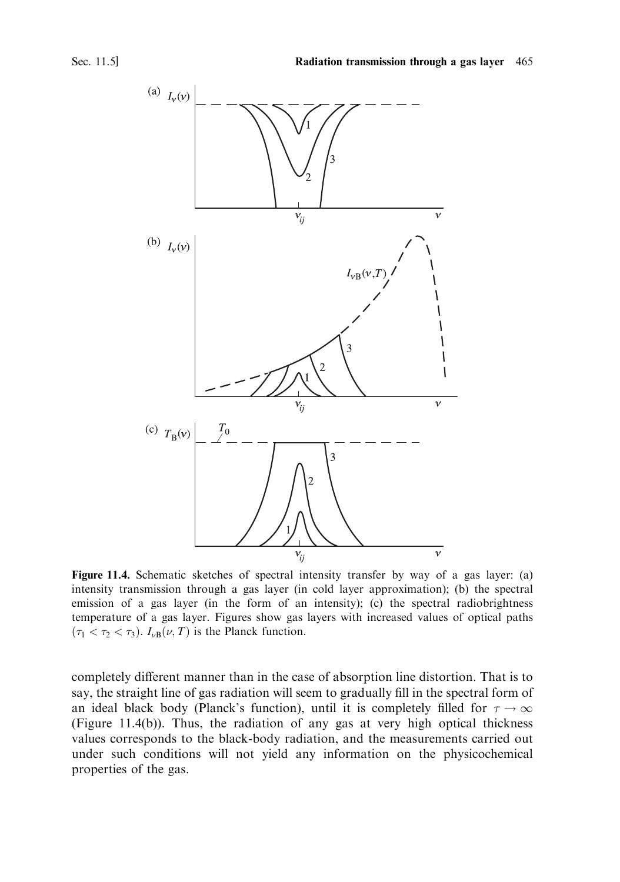

Figure 11.4. Schematic sketches of spectral intensity transfer by way of a gas layer: (a) intensity transmission through a gas layer (in cold layer approximation); (b) the spectral emission of a gas layer (in the form of an intensity); (c) the spectral radiobrightness temperature of a gas layer. Figures show gas layers with increased values of optical paths  $(\tau_1 < \tau_2 < \tau_3)$ .  $I_{\nu B}(\nu, T)$  is the Planck function.

completely different manner than in the case of absorption line distortion. That is to say, the straight line of gas radiation will seem to gradually fill in the spectral form of an ideal black body (Planck's function), until it is completely filled for  $\tau \to \infty$ (Figure 11.4(b)). Thus, the radiation of any gas at very high optical thickness values corresponds to the black-body radiation, and the measurements carried out under such conditions will not yield any information on the physicochemical properties of the gas.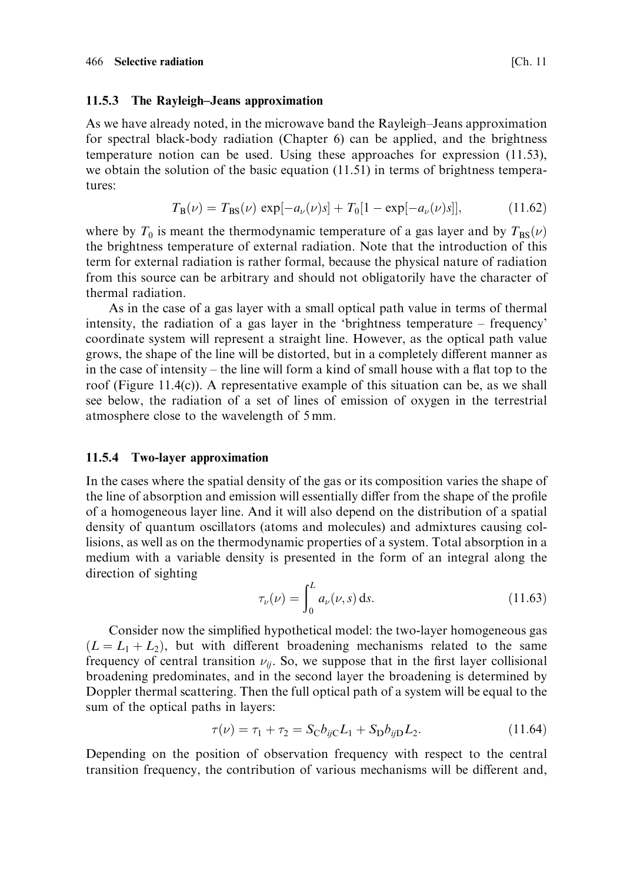#### The Rayleigh-Jeans approximation 11.5.3

As we have already noted, in the microwave band the Rayleigh–Jeans approximation for spectral black-body radiation (Chapter 6) can be applied, and the brightness temperature notion can be used. Using these approaches for expression  $(11.53)$ , we obtain the solution of the basic equation  $(11.51)$  in terms of brightness temperatures:

$$
T_{\mathbf{B}}(\nu) = T_{\mathbf{B}\mathbf{S}}(\nu) \exp[-a_{\nu}(\nu)s] + T_0[1 - \exp[-a_{\nu}(\nu)s]], \qquad (11.62)
$$

where by  $T_0$  is meant the thermodynamic temperature of a gas layer and by  $T_{BS}(\nu)$ the brightness temperature of external radiation. Note that the introduction of this term for external radiation is rather formal, because the physical nature of radiation from this source can be arbitrary and should not obligatorily have the character of thermal radiation.

As in the case of a gas layer with a small optical path value in terms of thermal intensity, the radiation of a gas layer in the 'brightness temperature  $-$  frequency' coordinate system will represent a straight line. However, as the optical path value grows, the shape of the line will be distorted, but in a completely different manner as in the case of intensity – the line will form a kind of small house with a flat top to the roof (Figure 11.4(c)). A representative example of this situation can be, as we shall see below, the radiation of a set of lines of emission of oxygen in the terrestrial atmosphere close to the wavelength of 5 mm.

## 11.5.4 Two-layer approximation

In the cases where the spatial density of the gas or its composition varies the shape of the line of absorption and emission will essentially differ from the shape of the profile of a homogeneous layer line. And it will also depend on the distribution of a spatial density of quantum oscillators (atoms and molecules) and admixtures causing collisions, as well as on the thermodynamic properties of a system. Total absorption in a medium with a variable density is presented in the form of an integral along the direction of sighting

$$
\tau_{\nu}(\nu) = \int_0^L a_{\nu}(\nu, s) \, \mathrm{d}s. \tag{11.63}
$$

Consider now the simplified hypothetical model: the two-layer homogeneous gas  $(L = L<sub>1</sub> + L<sub>2</sub>)$ , but with different broadening mechanisms related to the same frequency of central transition  $\nu_{ii}$ . So, we suppose that in the first layer collisional broadening predominates, and in the second layer the broadening is determined by Doppler thermal scattering. Then the full optical path of a system will be equal to the sum of the optical paths in layers:

$$
\tau(\nu) = \tau_1 + \tau_2 = S_C b_{ijC} L_1 + S_D b_{ijD} L_2.
$$
 (11.64)

Depending on the position of observation frequency with respect to the central transition frequency, the contribution of various mechanisms will be different and,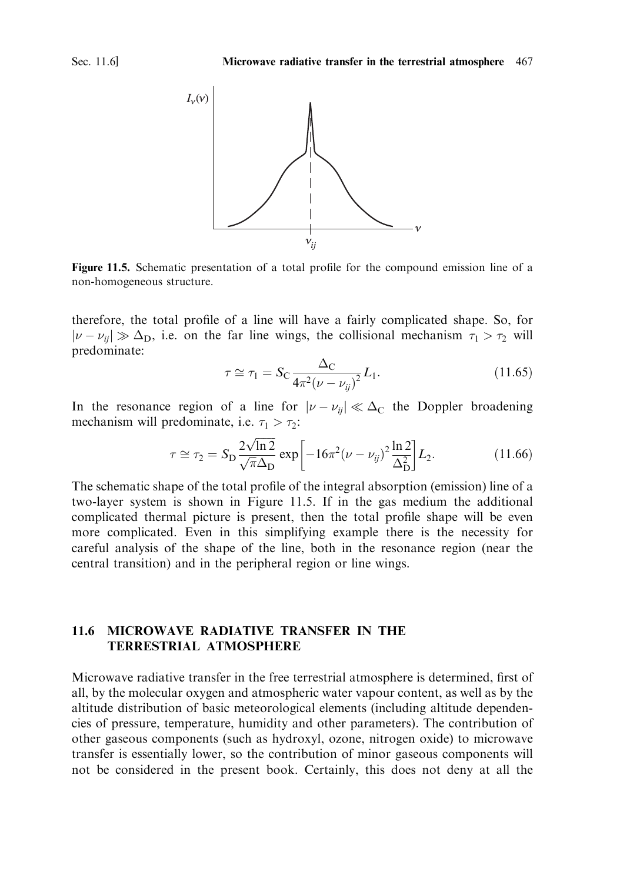

Figure 11.5. Schematic presentation of a total profile for the compound emission line of a non-homogeneous structure.

therefore, the total profile of a line will have a fairly complicated shape. So, for  $|\nu - \nu_{ij}| \gg \Delta_{\text{D}}$ , i.e. on the far line wings, the collisional mechanism  $\tau_1 > \tau_2$  will predominate:

$$
\tau \cong \tau_1 = S_C \frac{\Delta_C}{4\pi^2 (\nu - \nu_{ij})^2} L_1.
$$
\n(11.65)

In the resonance region of a line for  $|\nu - \nu_{ii}| \ll \Delta_C$  the Doppler broadening mechanism will predominate, i.e.  $\tau_1 > \tau_2$ :

$$
\tau \cong \tau_2 = S_{\text{D}} \frac{2\sqrt{\ln 2}}{\sqrt{\pi} \Delta_{\text{D}}} \exp \left[ -16\pi^2 (\nu - \nu_{ij})^2 \frac{\ln 2}{\Delta_{\text{D}}^2} \right] L_2. \tag{11.66}
$$

The schematic shape of the total profile of the integral absorption (emission) line of a two-layer system is shown in Figure 11.5. If in the gas medium the additional complicated thermal picture is present, then the total profile shape will be even more complicated. Even in this simplifying example there is the necessity for careful analysis of the shape of the line, both in the resonance region (near the central transition) and in the peripheral region or line wings.

#### $11.6$ MICROWAVE RADIATIVE TRANSFER IN THE **TERRESTRIAL ATMOSPHERE**

Microwave radiative transfer in the free terrestrial atmosphere is determined, first of all, by the molecular oxygen and atmospheric water vapour content, as well as by the altitude distribution of basic meteorological elements (including altitude dependencies of pressure, temperature, humidity and other parameters). The contribution of other gaseous components (such as hydroxyl, ozone, nitrogen oxide) to microwave transfer is essentially lower, so the contribution of minor gaseous components will not be considered in the present book. Certainly, this does not deny at all the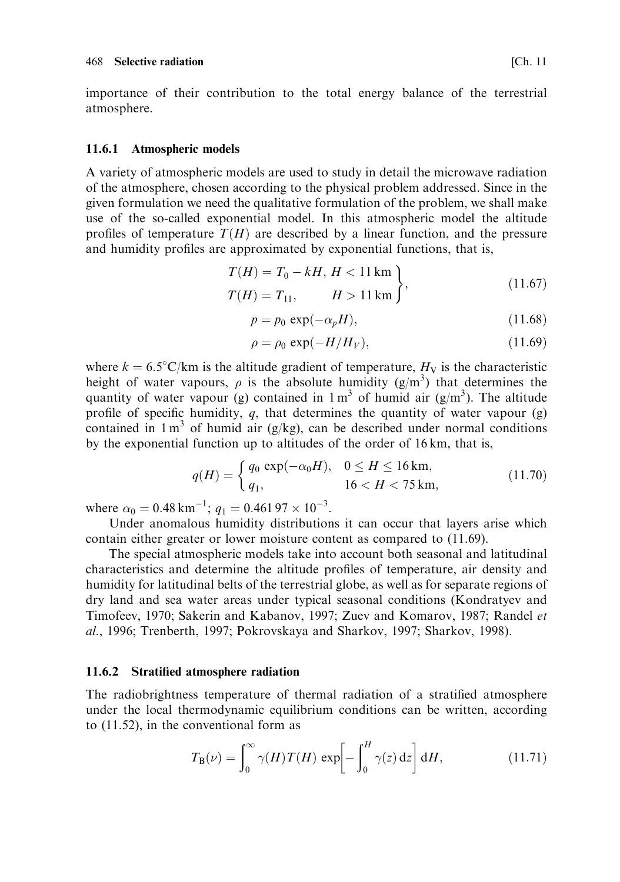importance of their contribution to the total energy balance of the terrestrial atmosphere.

#### 11.6.1 **Atmospheric models**

A variety of atmospheric models are used to study in detail the microwave radiation of the atmosphere, chosen according to the physical problem addressed. Since in the given formulation we need the qualitative formulation of the problem, we shall make use of the so-called exponential model. In this atmospheric model the altitude profiles of temperature  $T(H)$  are described by a linear function, and the pressure and humidity profiles are approximated by exponential functions, that is,

$$
T(H) = T_0 - kH, H < 11 \text{ km}
$$
  
\n
$$
T(H) = T_{11}, \qquad H > 11 \text{ km}
$$
 (11.67)

$$
p = p_0 \exp(-\alpha_p H),\tag{11.68}
$$

$$
\rho = \rho_0 \exp(-H/H_V),\tag{11.69}
$$

where  $k = 6.5^{\circ}$ C/km is the altitude gradient of temperature,  $H_V$  is the characteristic height of water vapours,  $\rho$  is the absolute humidity  $(g/m^3)$  that determines the quantity of water vapour (g) contained in  $1 \text{ m}^3$  of humid air (g/m<sup>3</sup>). The altitude profile of specific humidity,  $q$ , that determines the quantity of water vapour  $(g)$ contained in  $1 \text{ m}^3$  of humid air (g/kg), can be described under normal conditions by the exponential function up to altitudes of the order of 16 km, that is,

$$
q(H) = \begin{cases} q_0 \exp(-\alpha_0 H), & 0 \le H \le 16 \text{ km}, \\ q_1, & 16 < H < 75 \text{ km}, \end{cases}
$$
(11.70)

where  $\alpha_0 = 0.48 \text{ km}^{-1}$ ;  $q_1 = 0.46197 \times 10^{-3}$ .

Under anomalous humidity distributions it can occur that layers arise which contain either greater or lower moisture content as compared to (11.69).

The special atmospheric models take into account both seasonal and latitudinal characteristics and determine the altitude profiles of temperature, air density and humidity for latitudinal belts of the terrestrial globe, as well as for separate regions of dry land and sea water areas under typical seasonal conditions (Kondratyev and Timofeev, 1970; Sakerin and Kabanov, 1997; Zuev and Komarov, 1987; Randel et al., 1996; Trenberth, 1997; Pokrovskaya and Sharkov, 1997; Sharkov, 1998).

## 11.6.2 Stratified atmosphere radiation

The radiobrightness temperature of thermal radiation of a stratified atmosphere under the local thermodynamic equilibrium conditions can be written, according to  $(11.52)$ , in the conventional form as

$$
T_{\mathbf{B}}(\nu) = \int_0^\infty \gamma(H) T(H) \, \exp\biggl[-\int_0^H \gamma(z) \, \mathrm{d}z\biggr] \, \mathrm{d}H,\tag{11.71}
$$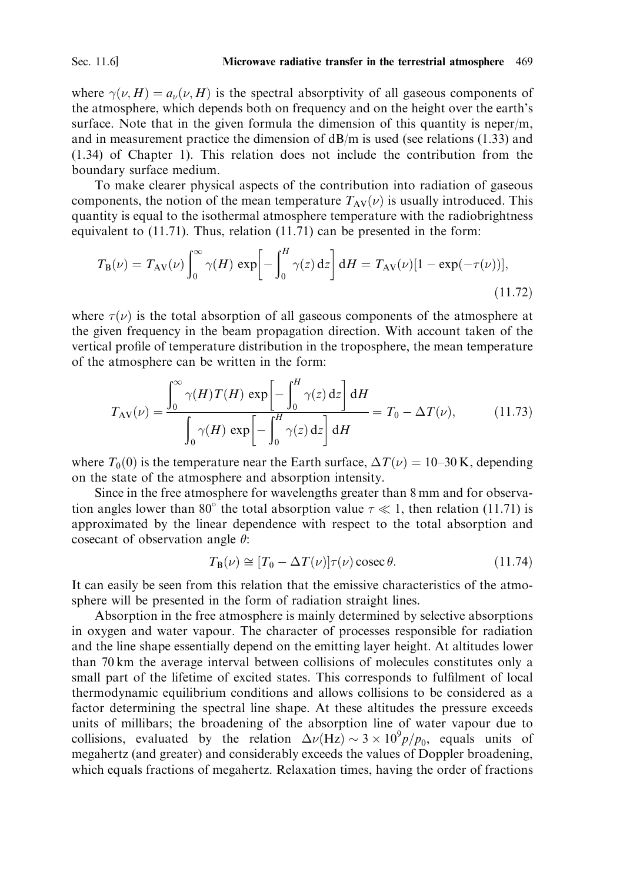where  $\gamma(\nu, H) = a_{\nu}(\nu, H)$  is the spectral absorptivity of all gaseous components of the atmosphere, which depends both on frequency and on the height over the earth's surface. Note that in the given formula the dimension of this quantity is neper/m, and in measurement practice the dimension of  $dB/m$  is used (see relations (1.33) and  $(1.34)$  of Chapter 1). This relation does not include the contribution from the boundary surface medium.

To make clearer physical aspects of the contribution into radiation of gaseous components, the notion of the mean temperature  $T_{AV}(\nu)$  is usually introduced. This quantity is equal to the isothermal atmosphere temperature with the radiobrightness equivalent to  $(11.71)$ . Thus, relation  $(11.71)$  can be presented in the form:

$$
T_{\mathcal{B}}(\nu) = T_{\mathcal{A}\mathcal{V}}(\nu) \int_0^\infty \gamma(H) \, \exp\biggl[-\int_0^H \gamma(z) \, dz\biggr] \, \mathrm{d}H = T_{\mathcal{A}\mathcal{V}}(\nu) [1 - \exp(-\tau(\nu))],\tag{11.72}
$$

where  $\tau(\nu)$  is the total absorption of all gaseous components of the atmosphere at the given frequency in the beam propagation direction. With account taken of the vertical profile of temperature distribution in the troposphere, the mean temperature of the atmosphere can be written in the form:

$$
T_{AV}(\nu) = \frac{\int_0^\infty \gamma(H) T(H) \exp\left[-\int_0^H \gamma(z) dz\right] dH}{\int_0 \gamma(H) \exp\left[-\int_0^H \gamma(z) dz\right] dH} = T_0 - \Delta T(\nu),\tag{11.73}
$$

where  $T_0(0)$  is the temperature near the Earth surface,  $\Delta T(\nu) = 10-30$  K, depending on the state of the atmosphere and absorption intensity.

Since in the free atmosphere for wavelengths greater than 8 mm and for observation angles lower than 80° the total absorption value  $\tau \ll 1$ , then relation (11.71) is approximated by the linear dependence with respect to the total absorption and cosecant of observation angle  $\theta$ :

$$
T_{\mathbf{B}}(\nu) \cong [T_0 - \Delta T(\nu)] \tau(\nu) \csc \theta.
$$
 (11.74)

It can easily be seen from this relation that the emissive characteristics of the atmosphere will be presented in the form of radiation straight lines.

Absorption in the free atmosphere is mainly determined by selective absorptions in oxygen and water vapour. The character of processes responsible for radiation and the line shape essentially depend on the emitting layer height. At altitudes lower than 70 km the average interval between collisions of molecules constitutes only a small part of the lifetime of excited states. This corresponds to fulfilment of local thermodynamic equilibrium conditions and allows collisions to be considered as a factor determining the spectral line shape. At these altitudes the pressure exceeds units of millibars; the broadening of the absorption line of water vapour due to collisions, evaluated by the relation  $\Delta \nu(Hz) \sim 3 \times 10^9 p/p_0$ , equals units of megahertz (and greater) and considerably exceeds the values of Doppler broadening, which equals fractions of megahertz. Relaxation times, having the order of fractions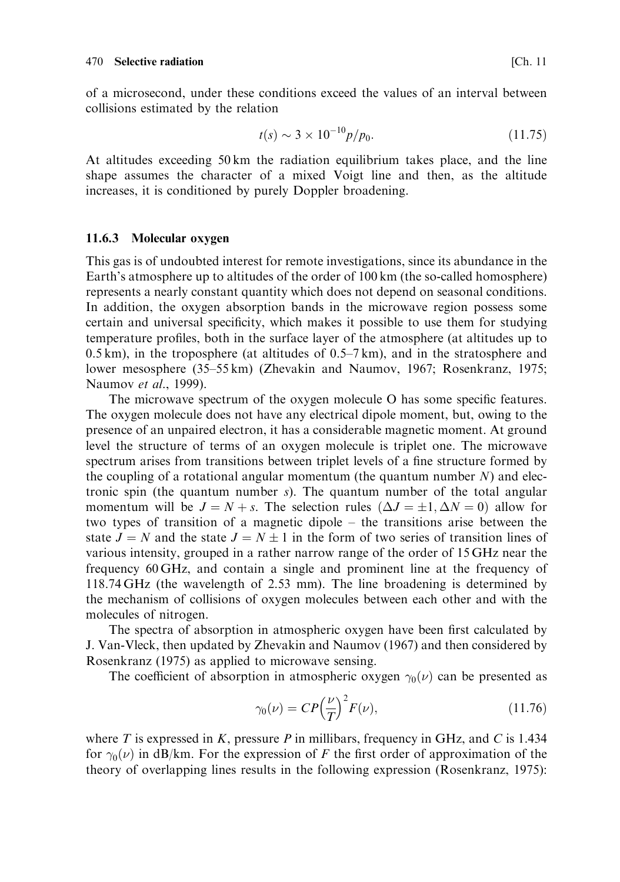of a microsecond, under these conditions exceed the values of an interval between collisions estimated by the relation

$$
t(s) \sim 3 \times 10^{-10} p/p_0. \tag{11.75}
$$

At altitudes exceeding 50 km the radiation equilibrium takes place, and the line shape assumes the character of a mixed Voigt line and then, as the altitude increases, it is conditioned by purely Doppler broadening.

#### $11.6.3$ Molecular oxygen

This gas is of undoubted interest for remote investigations, since its abundance in the Earth's atmosphere up to altitudes of the order of 100 km (the so-called homosphere) represents a nearly constant quantity which does not depend on seasonal conditions. In addition, the oxygen absorption bands in the microwave region possess some certain and universal specificity, which makes it possible to use them for studying temperature profiles, both in the surface layer of the atmosphere (at altitudes up to 0.5 km), in the troposphere (at altitudes of  $0.5-7$  km), and in the stratosphere and lower mesosphere (35–55 km) (Zhevakin and Naumov, 1967; Rosenkranz, 1975; Naumov et al., 1999).

The microwave spectrum of the oxygen molecule O has some specific features. The oxygen molecule does not have any electrical dipole moment, but, owing to the presence of an unpaired electron, it has a considerable magnetic moment. At ground level the structure of terms of an oxygen molecule is triplet one. The microwave spectrum arises from transitions between triplet levels of a fine structure formed by the coupling of a rotational angular momentum (the quantum number  $N$ ) and electronic spin (the quantum number  $s$ ). The quantum number of the total angular momentum will be  $J = N + s$ . The selection rules  $(\Delta J = \pm 1, \Delta N = 0)$  allow for two types of transition of a magnetic dipole – the transitions arise between the state  $J = N$  and the state  $J = N \pm 1$  in the form of two series of transition lines of various intensity, grouped in a rather narrow range of the order of 15 GHz near the frequency 60 GHz, and contain a single and prominent line at the frequency of 118.74 GHz (the wavelength of 2.53 mm). The line broadening is determined by the mechanism of collisions of oxygen molecules between each other and with the molecules of nitrogen.

The spectra of absorption in atmospheric oxygen have been first calculated by J. Van-Vleck, then updated by Zhevakin and Naumov (1967) and then considered by Rosenkranz (1975) as applied to microwave sensing.

The coefficient of absorption in atmospheric oxygen  $\gamma_0(\nu)$  can be presented as

$$
\gamma_0(\nu) = CP\left(\frac{\nu}{T}\right)^2 F(\nu),\tag{11.76}
$$

where  $T$  is expressed in  $K$ , pressure  $P$  in millibars, frequency in GHz, and  $C$  is 1.434 for  $\gamma_0(\nu)$  in dB/km. For the expression of F the first order of approximation of the theory of overlapping lines results in the following expression (Rosenkranz, 1975):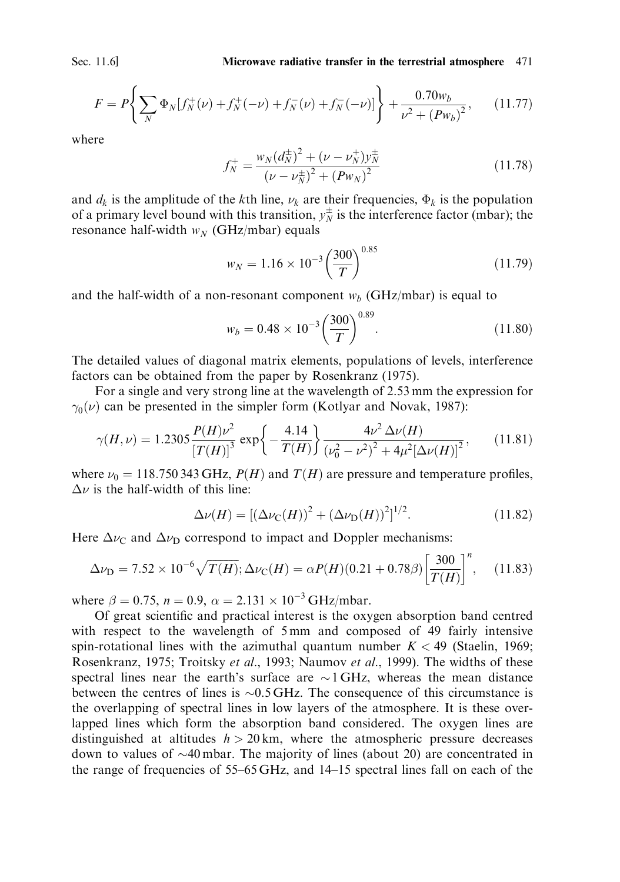Sec. 11.6

#### Microwave radiative transfer in the terrestrial atmosphere 471

$$
F = P\left\{\sum_{N} \Phi_N[f_N^+(\nu) + f_N^+(-\nu) + f_N^-(\nu) + f_N^-(-\nu)]\right\} + \frac{0.70w_b}{\nu^2 + (Pw_b)^2},\qquad(11.77)
$$

where

$$
f_N^+ = \frac{w_N (d_N^{\pm})^2 + (\nu - \nu_N^+) y_N^{\pm}}{(\nu - \nu_N^{\pm})^2 + (P w_N)^2}
$$
(11.78)

and  $d_k$  is the amplitude of the kth line,  $\nu_k$  are their frequencies,  $\Phi_k$  is the population of a primary level bound with this transition,  $y_N^{\pm}$  is the interference factor (mbar); the resonance half-width  $w_N$  (GHz/mbar) equals

$$
w_N = 1.16 \times 10^{-3} \left(\frac{300}{T}\right)^{0.85} \tag{11.79}
$$

and the half-width of a non-resonant component  $w_b$  (GHz/mbar) is equal to

$$
w_b = 0.48 \times 10^{-3} \left(\frac{300}{T}\right)^{0.89}.
$$
 (11.80)

The detailed values of diagonal matrix elements, populations of levels, interference factors can be obtained from the paper by Rosenkranz (1975).

For a single and very strong line at the wavelength of 2.53 mm the expression for  $\gamma_0(\nu)$  can be presented in the simpler form (Kotlyar and Novak, 1987):

$$
\gamma(H,\nu) = 1.2305 \frac{P(H)\nu^2}{[T(H)]^3} \exp\left\{-\frac{4.14}{T(H)}\right\} \frac{4\nu^2 \Delta\nu(H)}{(\nu_0^2 - \nu^2)^2 + 4\mu^2 [\Delta\nu(H)]^2},\tag{11.81}
$$

where  $\nu_0 = 118.750343 \text{ GHz}$ ,  $P(H)$  and  $T(H)$  are pressure and temperature profiles,  $\Delta \nu$  is the half-width of this line:

$$
\Delta\nu(H) = [(\Delta\nu_{\rm C}(H))^2 + (\Delta\nu_{\rm D}(H))^2]^{1/2}.
$$
\n(11.82)

Here  $\Delta \nu_C$  and  $\Delta \nu_D$  correspond to impact and Doppler mechanisms:

$$
\Delta \nu_{\rm D} = 7.52 \times 10^{-6} \sqrt{T(H)}; \Delta \nu_{\rm C}(H) = \alpha P(H)(0.21 + 0.78\beta) \left[ \frac{300}{T(H)} \right]^n, \quad (11.83)
$$

where  $\beta = 0.75$ ,  $n = 0.9$ ,  $\alpha = 2.131 \times 10^{-3}$  GHz/mbar.

Of great scientific and practical interest is the oxygen absorption band centred with respect to the wavelength of 5 mm and composed of 49 fairly intensive spin-rotational lines with the azimuthal quantum number  $K < 49$  (Staelin, 1969; Rosenkranz, 1975; Troitsky et al., 1993; Naumov et al., 1999). The widths of these spectral lines near the earth's surface are  $\sim$ 1 GHz, whereas the mean distance between the centres of lines is  $\sim 0.5$  GHz. The consequence of this circumstance is the overlapping of spectral lines in low layers of the atmosphere. It is these overlapped lines which form the absorption band considered. The oxygen lines are distinguished at altitudes  $h > 20$  km, where the atmospheric pressure decreases down to values of  $\sim$ 40 mbar. The majority of lines (about 20) are concentrated in the range of frequencies of 55–65 GHz, and 14–15 spectral lines fall on each of the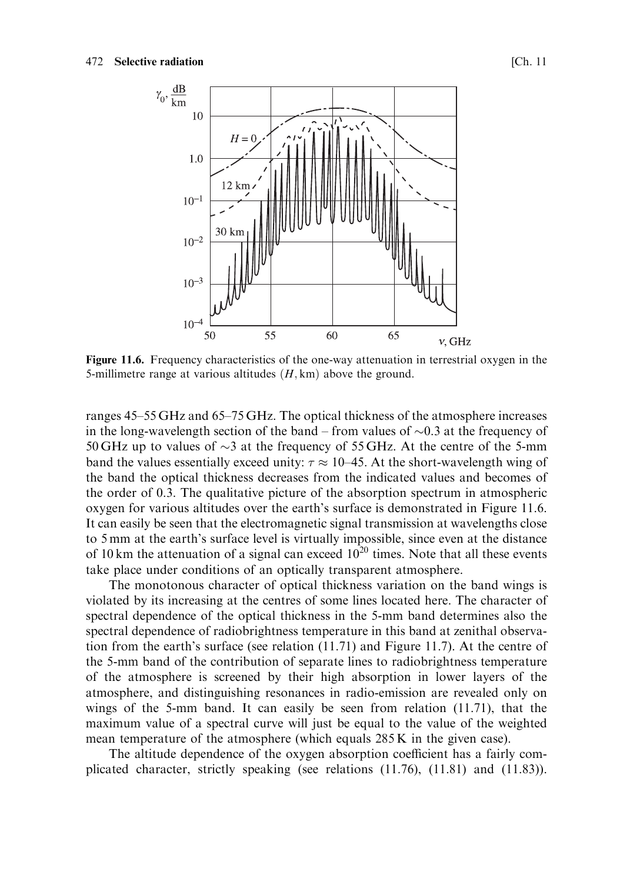$\gamma_0$ ,  $\frac{dB}{km}$ 

10





Figure 11.6. Frequency characteristics of the one-way attenuation in terrestrial oxygen in the 5-millimetre range at various altitudes  $(H, km)$  above the ground.

ranges 45–55 GHz and 65–75 GHz. The optical thickness of the atmosphere increases in the long-wavelength section of the band – from values of  $\sim 0.3$  at the frequency of 50 GHz up to values of  $\sim$ 3 at the frequency of 55 GHz. At the centre of the 5-mm band the values essentially exceed unity:  $\tau \approx 10-45$ . At the short-wavelength wing of the band the optical thickness decreases from the indicated values and becomes of the order of 0.3. The qualitative picture of the absorption spectrum in atmospheric oxygen for various altitudes over the earth's surface is demonstrated in Figure 11.6. It can easily be seen that the electromagnetic signal transmission at wavelengths close to 5 mm at the earth's surface level is virtually impossible, since even at the distance of 10 km the attenuation of a signal can exceed  $10^{20}$  times. Note that all these events take place under conditions of an optically transparent atmosphere.

The monotonous character of optical thickness variation on the band wings is violated by its increasing at the centres of some lines located here. The character of spectral dependence of the optical thickness in the 5-mm band determines also the spectral dependence of radiobrightness temperature in this band at zenithal observation from the earth's surface (see relation  $(11.71)$ ) and Figure 11.7). At the centre of the 5-mm band of the contribution of separate lines to radiobrightness temperature of the atmosphere is screened by their high absorption in lower layers of the atmosphere, and distinguishing resonances in radio-emission are revealed only on wings of the 5-mm band. It can easily be seen from relation  $(11.71)$ , that the maximum value of a spectral curve will just be equal to the value of the weighted mean temperature of the atmosphere (which equals 285 K in the given case).

The altitude dependence of the oxygen absorption coefficient has a fairly complicated character, strictly speaking (see relations (11.76), (11.81) and (11.83)).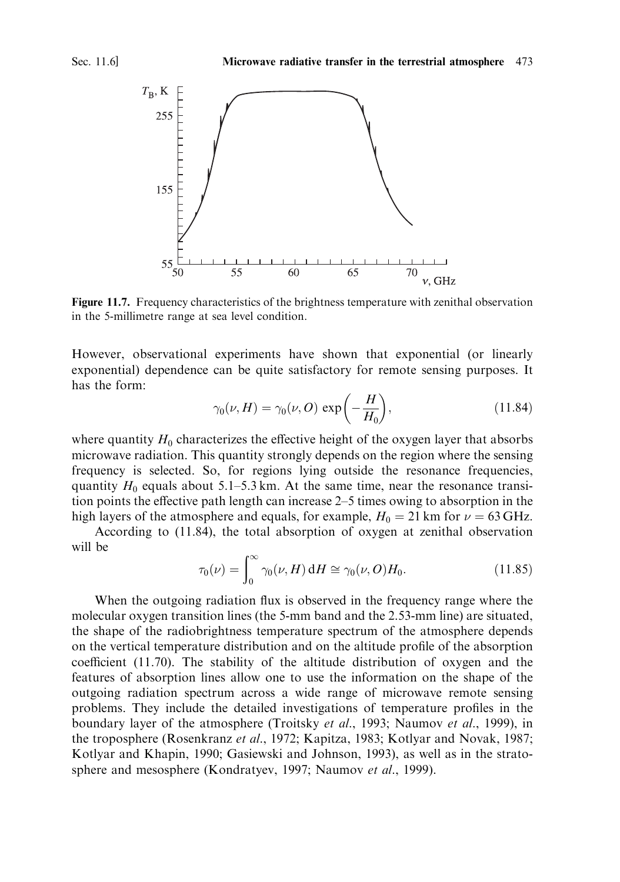

Figure 11.7. Frequency characteristics of the brightness temperature with zenithal observation in the 5-millimetre range at sea level condition.

However, observational experiments have shown that exponential (or linearly exponential) dependence can be quite satisfactory for remote sensing purposes. It has the form:

$$
\gamma_0(\nu, H) = \gamma_0(\nu, O) \, \exp\left(-\frac{H}{H_0}\right),\tag{11.84}
$$

where quantity  $H_0$  characterizes the effective height of the oxygen layer that absorbs microwave radiation. This quantity strongly depends on the region where the sensing frequency is selected. So, for regions lying outside the resonance frequencies, quantity  $H_0$  equals about 5.1–5.3 km. At the same time, near the resonance transition points the effective path length can increase 2–5 times owing to absorption in the high layers of the atmosphere and equals, for example,  $H_0 = 21$  km for  $\nu = 63$  GHz.

According to (11.84), the total absorption of oxygen at zenithal observation will be

$$
\tau_0(\nu) = \int_0^\infty \gamma_0(\nu, H) \, \mathrm{d}H \cong \gamma_0(\nu, O) H_0. \tag{11.85}
$$

When the outgoing radiation flux is observed in the frequency range where the molecular oxygen transition lines (the 5-mm band and the 2.53-mm line) are situated, the shape of the radiobrightness temperature spectrum of the atmosphere depends on the vertical temperature distribution and on the altitude profile of the absorption coefficient (11.70). The stability of the altitude distribution of oxygen and the features of absorption lines allow one to use the information on the shape of the outgoing radiation spectrum across a wide range of microwave remote sensing problems. They include the detailed investigations of temperature profiles in the boundary layer of the atmosphere (Troitsky et al., 1993; Naumov et al., 1999), in the troposphere (Rosenkranz et al., 1972; Kapitza, 1983; Kotlyar and Novak, 1987; Kotlyar and Khapin, 1990; Gasiewski and Johnson, 1993), as well as in the stratosphere and mesosphere (Kondratyev, 1997; Naumov et al., 1999).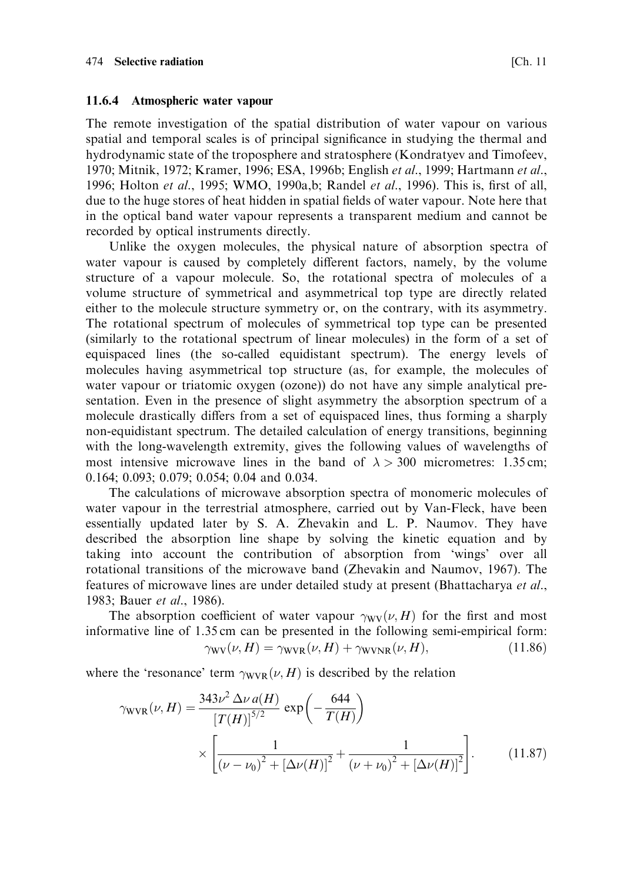#### 11.6.4 Atmospheric water vapour

The remote investigation of the spatial distribution of water vapour on various spatial and temporal scales is of principal significance in studying the thermal and hydrodynamic state of the troposphere and stratosphere (Kondratyev and Timofeev, 1970; Mitnik, 1972; Kramer, 1996; ESA, 1996b; English et al., 1999; Hartmann et al., 1996; Holton et al., 1995; WMO, 1990a,b; Randel et al., 1996). This is, first of all, due to the huge stores of heat hidden in spatial fields of water vapour. Note here that in the optical band water vapour represents a transparent medium and cannot be recorded by optical instruments directly.

Unlike the oxygen molecules, the physical nature of absorption spectra of water vapour is caused by completely different factors, namely, by the volume structure of a vapour molecule. So, the rotational spectra of molecules of a volume structure of symmetrical and asymmetrical top type are directly related either to the molecule structure symmetry or, on the contrary, with its asymmetry. The rotational spectrum of molecules of symmetrical top type can be presented (similarly to the rotational spectrum of linear molecules) in the form of a set of equispaced lines (the so-called equidistant spectrum). The energy levels of molecules having asymmetrical top structure (as, for example, the molecules of water vapour or triatomic oxygen (ozone)) do not have any simple analytical presentation. Even in the presence of slight asymmetry the absorption spectrum of a molecule drastically differs from a set of equispaced lines, thus forming a sharply non-equidistant spectrum. The detailed calculation of energy transitions, beginning with the long-wavelength extremity, gives the following values of wavelengths of most intensive microwave lines in the band of  $\lambda > 300$  micrometres: 1.35 cm;  $0.164: 0.093: 0.079: 0.054: 0.04$  and 0.034.

The calculations of microwave absorption spectra of monomeric molecules of water vapour in the terrestrial atmosphere, carried out by Van-Fleck, have been essentially updated later by S. A. Zhevakin and L. P. Naumov. They have described the absorption line shape by solving the kinetic equation and by taking into account the contribution of absorption from 'wings' over all rotational transitions of the microwave band (Zhevakin and Naumov, 1967). The features of microwave lines are under detailed study at present (Bhattacharya et al., 1983; Bauer et al., 1986).

The absorption coefficient of water vapour  $\gamma_{\rm WV}(\nu, H)$  for the first and most informative line of 1.35 cm can be presented in the following semi-empirical form:  $\gamma_{\rm WV}(\nu, H) = \gamma_{\rm WVR}(\nu, H) + \gamma_{\rm WVNR}(\nu, H),$  $(11.86)$ 

where the 'resonance' term  $\gamma_{\text{WVR}}(\nu, H)$  is described by the relation

$$
\gamma_{\text{WVR}}(\nu, H) = \frac{343\nu^2 \Delta \nu a(H)}{\left[T(H)\right]^{5/2}} \exp\left(-\frac{644}{T(H)}\right)
$$

$$
\times \left[\frac{1}{\left(\nu - \nu_0\right)^2 + \left[\Delta \nu(H)\right]^2} + \frac{1}{\left(\nu + \nu_0\right)^2 + \left[\Delta \nu(H)\right]^2}\right].\tag{11.87}
$$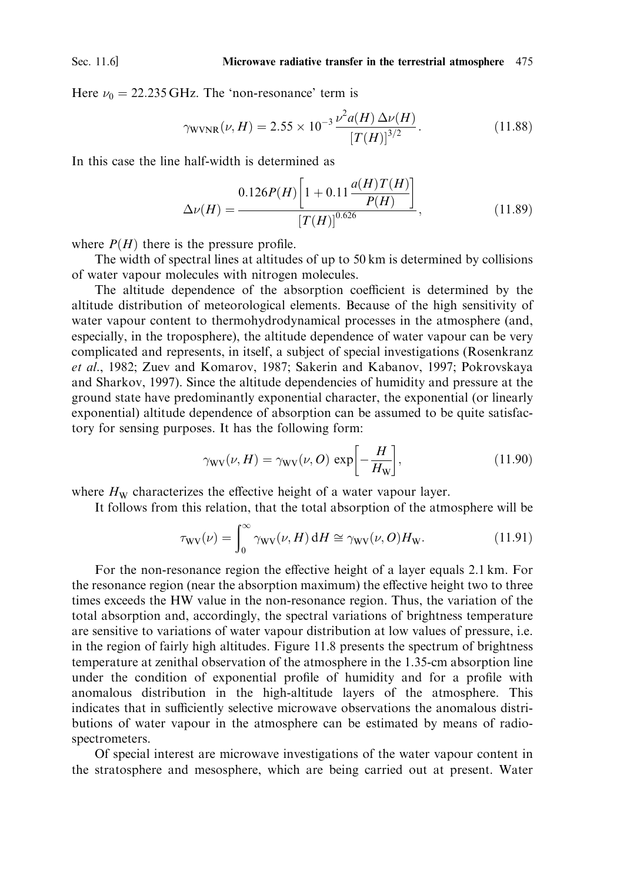Sec. 11.6

Here  $\nu_0 = 22.235 \text{ GHz}$ . The 'non-resonance' term is

$$
\gamma_{\text{WVNR}}(\nu, H) = 2.55 \times 10^{-3} \frac{\nu^2 a(H) \Delta \nu(H)}{\left[T(H)\right]^{3/2}}.
$$
\n(11.88)

In this case the line half-width is determined as

$$
\Delta\nu(H) = \frac{0.126P(H)\left[1 + 0.11\frac{a(H)T(H)}{P(H)}\right]}{\left[T(H)\right]^{0.626}},
$$
\n(11.89)

where  $P(H)$  there is the pressure profile.

The width of spectral lines at altitudes of up to 50 km is determined by collisions of water vapour molecules with nitrogen molecules.

The altitude dependence of the absorption coefficient is determined by the altitude distribution of meteorological elements. Because of the high sensitivity of water vapour content to thermohydrodynamical processes in the atmosphere (and, especially, in the troposphere), the altitude dependence of water vapour can be very complicated and represents, in itself, a subject of special investigations (Rosenkranz et al., 1982; Zuev and Komarov, 1987; Sakerin and Kabanov, 1997; Pokrovskaya and Sharkov, 1997). Since the altitude dependencies of humidity and pressure at the ground state have predominantly exponential character, the exponential (or linearly exponential) altitude dependence of absorption can be assumed to be quite satisfactory for sensing purposes. It has the following form:

$$
\gamma_{\rm WV}(\nu, H) = \gamma_{\rm WV}(\nu, O) \, \exp\left[-\frac{H}{H_{\rm W}}\right],\tag{11.90}
$$

where  $H_w$  characterizes the effective height of a water vapour layer.

It follows from this relation, that the total absorption of the atmosphere will be

$$
\tau_{\rm WV}(\nu) = \int_0^\infty \gamma_{\rm WV}(\nu, H) \, \mathrm{d}H \cong \gamma_{\rm WV}(\nu, O) H_{\rm W}.\tag{11.91}
$$

For the non-resonance region the effective height of a layer equals 2.1 km. For the resonance region (near the absorption maximum) the effective height two to three times exceeds the HW value in the non-resonance region. Thus, the variation of the total absorption and, accordingly, the spectral variations of brightness temperature are sensitive to variations of water vapour distribution at low values of pressure, i.e. in the region of fairly high altitudes. Figure 11.8 presents the spectrum of brightness temperature at zenithal observation of the atmosphere in the 1.35-cm absorption line under the condition of exponential profile of humidity and for a profile with anomalous distribution in the high-altitude layers of the atmosphere. This indicates that in sufficiently selective microwave observations the anomalous distributions of water vapour in the atmosphere can be estimated by means of radiospectrometers.

Of special interest are microwave investigations of the water vapour content in the stratosphere and mesosphere, which are being carried out at present. Water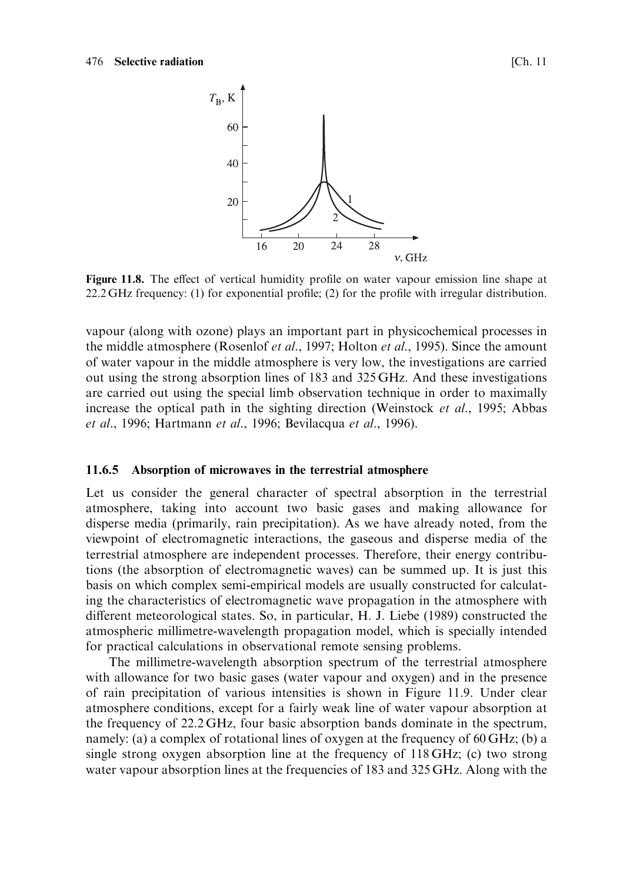$T_{\rm B}$ , K

60

40

20



28

 $v.$  GHz

**Figure 11.8.** The effect of vertical humidity profile on water vapour emission line shape at 22.2 GHz frequency: (1) for exponential profile; (2) for the profile with irregular distribution.

20

16

24

vapour (along with ozone) plays an important part in physicochemical processes in the middle atmosphere (Rosenlof et al., 1997; Holton et al., 1995). Since the amount of water vapour in the middle atmosphere is very low, the investigations are carried out using the strong absorption lines of 183 and 325 GHz. And these investigations are carried out using the special limb observation technique in order to maximally increase the optical path in the sighting direction (Weinstock et al., 1995; Abbas et al., 1996; Hartmann et al., 1996; Bevilacqua et al., 1996).

#### 11.6.5 Absorption of microwaves in the terrestrial atmosphere

Let us consider the general character of spectral absorption in the terrestrial atmosphere, taking into account two basic gases and making allowance for disperse media (primarily, rain precipitation). As we have already noted, from the viewpoint of electromagnetic interactions, the gaseous and disperse media of the terrestrial atmosphere are independent processes. Therefore, their energy contributions (the absorption of electromagnetic waves) can be summed up. It is just this basis on which complex semi-empirical models are usually constructed for calculating the characteristics of electromagnetic wave propagation in the atmosphere with different meteorological states. So, in particular, H. J. Liebe (1989) constructed the atmospheric millimetre-wavelength propagation model, which is specially intended for practical calculations in observational remote sensing problems.

The millimetre-wavelength absorption spectrum of the terrestrial atmosphere with allowance for two basic gases (water vapour and oxygen) and in the presence of rain precipitation of various intensities is shown in Figure 11.9. Under clear atmosphere conditions, except for a fairly weak line of water vapour absorption at the frequency of 22.2 GHz, four basic absorption bands dominate in the spectrum, namely: (a) a complex of rotational lines of oxygen at the frequency of 60 GHz; (b) a single strong oxygen absorption line at the frequency of 118 GHz; (c) two strong water vapour absorption lines at the frequencies of 183 and 325 GHz. Along with the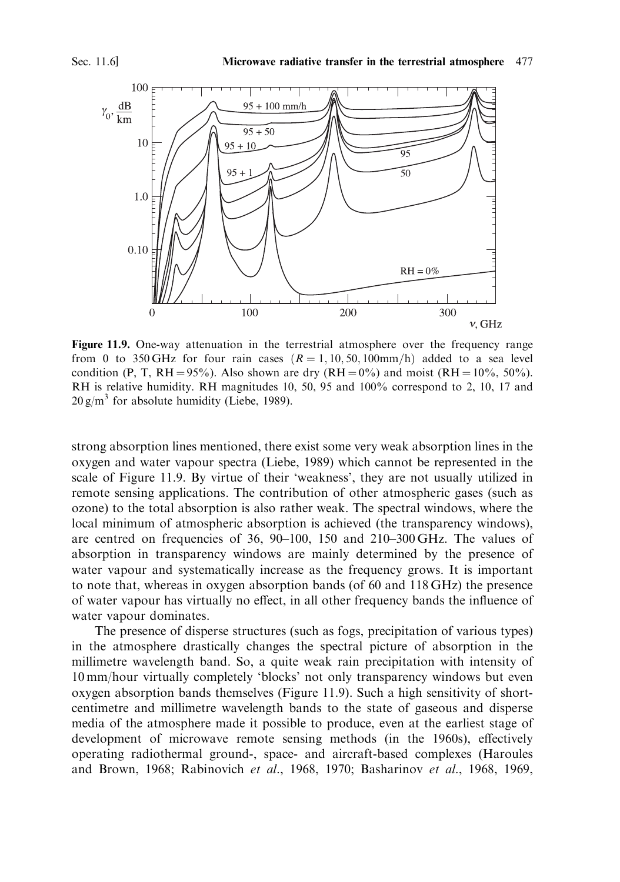

Figure 11.9. One-way attenuation in the terrestrial atmosphere over the frequency range from 0 to 350 GHz for four rain cases  $(R = 1, 10, 50, 100$ mm/h) added to a sea level condition (P, T, RH = 95%). Also shown are dry (RH = 0%) and moist (RH = 10%, 50%). RH is relative humidity. RH magnitudes 10, 50, 95 and 100% correspond to 2, 10, 17 and  $20 \text{ g/m}^3$  for absolute humidity (Liebe, 1989).

strong absorption lines mentioned, there exist some very weak absorption lines in the oxygen and water vapour spectra (Liebe, 1989) which cannot be represented in the scale of Figure 11.9. By virtue of their 'weakness', they are not usually utilized in remote sensing applications. The contribution of other atmospheric gases (such as ozone) to the total absorption is also rather weak. The spectral windows, where the local minimum of atmospheric absorption is achieved (the transparency windows), are centred on frequencies of 36, 90-100, 150 and 210-300 GHz. The values of absorption in transparency windows are mainly determined by the presence of water vapour and systematically increase as the frequency grows. It is important to note that, whereas in oxygen absorption bands (of 60 and 118 GHz) the presence of water vapour has virtually no effect, in all other frequency bands the influence of water vapour dominates.

The presence of disperse structures (such as fogs, precipitation of various types) in the atmosphere drastically changes the spectral picture of absorption in the millimetre wavelength band. So, a quite weak rain precipitation with intensity of 10 mm/hour virtually completely 'blocks' not only transparency windows but even oxygen absorption bands themselves (Figure 11.9). Such a high sensitivity of shortcentimetre and millimetre wavelength bands to the state of gaseous and disperse media of the atmosphere made it possible to produce, even at the earliest stage of development of microwave remote sensing methods (in the 1960s), effectively operating radiothermal ground-, space- and aircraft-based complexes (Haroules and Brown, 1968; Rabinovich et al., 1968, 1970; Basharinov et al., 1968, 1969,